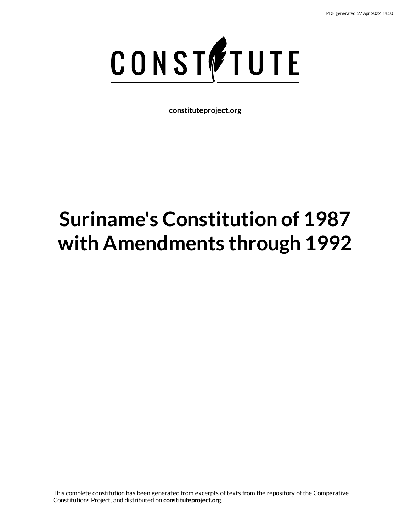

**constituteproject.org**

# **Suriname's Constitution of 1987 with Amendments through 1992**

This complete constitution has been generated from excerpts of texts from the repository of the Comparative Constitutions Project, and distributed on **constituteproject.org**.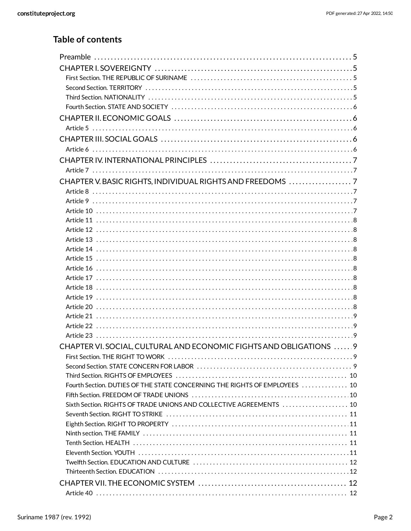## **Table of contents**

| CHAPTER V. BASIC RIGHTS, INDIVIDUAL RIGHTS AND FREEDOMS                    |  |
|----------------------------------------------------------------------------|--|
|                                                                            |  |
|                                                                            |  |
|                                                                            |  |
|                                                                            |  |
|                                                                            |  |
|                                                                            |  |
|                                                                            |  |
|                                                                            |  |
|                                                                            |  |
|                                                                            |  |
|                                                                            |  |
|                                                                            |  |
|                                                                            |  |
|                                                                            |  |
|                                                                            |  |
| CHAPTER VI. SOCIAL, CULTURAL AND ECONOMIC FIGHTS AND OBLIGATIONS  9        |  |
|                                                                            |  |
|                                                                            |  |
|                                                                            |  |
| Fourth Section, DUTIES OF THE STATE CONCERNING THE RIGHTS OF EMPLOYEES  10 |  |
|                                                                            |  |
| Sixth Section. RIGHTS OF TRADE UNIONS AND COLLECTIVE AGREEMENTS  10        |  |
|                                                                            |  |
|                                                                            |  |
|                                                                            |  |
|                                                                            |  |
|                                                                            |  |
|                                                                            |  |
|                                                                            |  |
|                                                                            |  |
|                                                                            |  |
|                                                                            |  |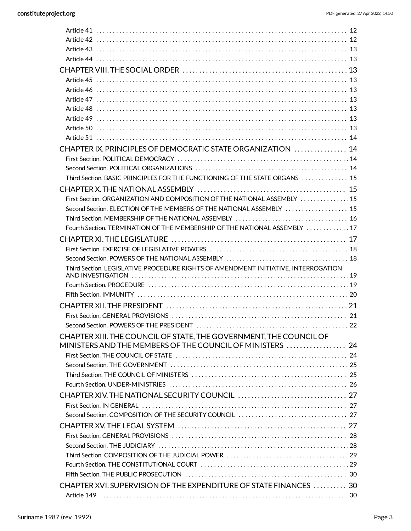| Article 51 ……………………………………………………………………………………… 14                                    |  |
|------------------------------------------------------------------------------------|--|
| CHAPTER IX. PRINCIPLES OF DEMOCRATIC STATE ORGANIZATION  14                        |  |
|                                                                                    |  |
|                                                                                    |  |
| Third Section. BASIC PRINCIPLES FOR THE FUNCTIONING OF THE STATE ORGANS  15        |  |
|                                                                                    |  |
| First Section. ORGANIZATION AND COMPOSITION OF THE NATIONAL ASSEMBLY 15            |  |
| Second Section. ELECTION OF THE MEMBERS OF THE NATIONAL ASSEMBLY  15               |  |
|                                                                                    |  |
| Fourth Section. TERMINATION OF THE MEMBERSHIP OF THE NATIONAL ASSEMBLY 17          |  |
|                                                                                    |  |
|                                                                                    |  |
|                                                                                    |  |
|                                                                                    |  |
| Third Section. LEGISLATIVE PROCEDURE RIGHTS OF AMENDMENT INITIATIVE, INTERROGATION |  |
|                                                                                    |  |
|                                                                                    |  |
|                                                                                    |  |
|                                                                                    |  |
|                                                                                    |  |
|                                                                                    |  |
| CHAPTER XIII. THE COUNCIL OF STATE, THE GOVERNMENT, THE COUNCIL OF                 |  |
| MINISTERS AND THE MEMBERS OF THE COUNCIL OF MINISTERS 24                           |  |
|                                                                                    |  |
|                                                                                    |  |
|                                                                                    |  |
|                                                                                    |  |
|                                                                                    |  |
|                                                                                    |  |
|                                                                                    |  |
|                                                                                    |  |
|                                                                                    |  |
|                                                                                    |  |
|                                                                                    |  |
|                                                                                    |  |
| CHAPTER XVI. SUPERVISION OF THE EXPENDITURE OF STATE FINANCES  30                  |  |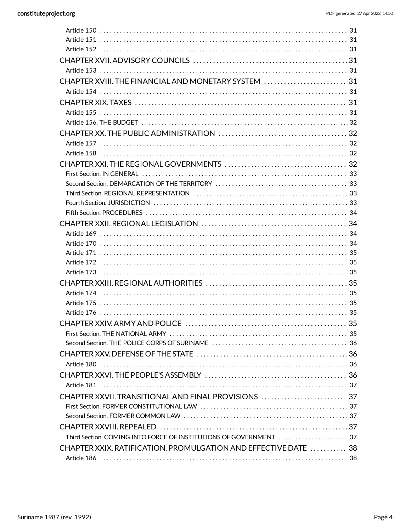| CHAPTER XXVII. TRANSITIONAL AND FINAL PROVISIONS  37            |  |
|-----------------------------------------------------------------|--|
|                                                                 |  |
|                                                                 |  |
|                                                                 |  |
|                                                                 |  |
| CHAPTER XXIX. RATIFICATION, PROMULGATION AND EFFECTIVE DATE  38 |  |
|                                                                 |  |
|                                                                 |  |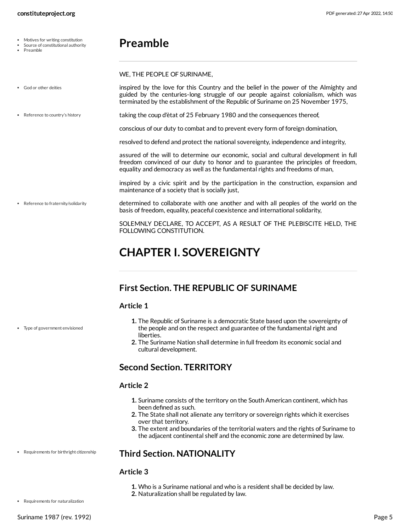- Motives for writing constitution  $\bullet$ Source of constitutional authority
- Preamble

God or other deities

## <span id="page-4-0"></span>**Preamble**

<span id="page-4-6"></span>WE, THE PEOPLE OF SURINAME,

- inspired by the love for this Country and the belief in the power of the Almighty and guided by the centuries-long struggle of our people against colonialism, which was terminated by the establishment of the Republic of Suriname on 25 November 1975,
- taking the coup d'ètat of 25 February 1980 and the consequences thereof, • Reference to country's history

<span id="page-4-7"></span>conscious of our duty to combat and to prevent every form of foreign domination,

resolved to defend and protect the national sovereignty, independence and integrity,

assured of the will to determine our economic, social and cultural development in full freedom convinced of our duty to honor and to guarantee the principles of freedom, equality and democracy as well as the fundamental rights and freedoms of man,

<span id="page-4-8"></span>inspired by a civic spirit and by the participation in the construction, expansion and maintenance of a society that is socially just,

determined to collaborate with one another and with all peoples of the world on the basis of freedom, equality, peaceful coexistence and international solidarity, • Reference to fraternity/solidarity

> SOLEMNLY DECLARE, TO ACCEPT, AS A RESULT OF THE PLEBISCITE HELD, THE FOLLOWING CONSTITUTION.

## <span id="page-4-1"></span>**CHAPTER I. SOVEREIGNTY**

## <span id="page-4-2"></span>**First Section. THE REPUBLIC OF SURINAME**

#### <span id="page-4-9"></span>**Article 1**

- **1.** The Republic of Suriname is a democratic State based upon the sovereignty of the people and on the respect and guarantee of the fundamental right and liberties.
- **2.** The Suriname Nation shall determine in full freedom its economic social and cultural development.

## <span id="page-4-3"></span>**Second Section. TERRITORY**

#### **Article 2**

- **1.** Suriname consists of the territory on the South American continent, which has been defined as such.
- **2.** The State shall not alienate any territory or sovereign rights which it exercises over that territory.
- **3.** The extent and boundaries of the territorial waters and the rights of Suriname to the adjacent continental shelf and the economic zone are determined by law.

### <span id="page-4-4"></span>**Third Section. NATIONALITY**

#### <span id="page-4-5"></span>**Article 3**

- **1.** Who is a Suriname national and who is a resident shall be decided by law.
- **2.** Naturalization shall be regulated by law.

Requirements for birthright citizenship

Type of government envisioned

• Requirements for naturalization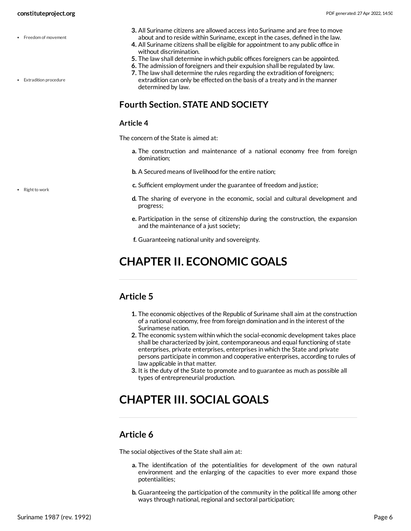• Freedom of movement

- **3.** All Suriname citizens are allowed access into Suriname and are free to move about and to reside within Suriname, except in the cases, defined in the law.
- **4.** All Suriname citizens shall be eligible for appointment to any public office in without discrimination.
- **5.** The law shall determine in which public offices foreigners can be appointed.
- **6.** The admission of foreigners and their expulsion shall be regulated by law.
- **7.** The law shall determine the rules regarding the extradition of foreigners; extradition can only be effected on the basis of a treaty and in the manner determined by law.

## <span id="page-5-0"></span>**Fourth Section. STATE AND SOCIETY**

#### **Article 4**

<span id="page-5-6"></span>The concern of the State is aimed at:

- **a.** The construction and maintenance of a national economy free from foreign domination;
- **b.** A Secured means of livelihood for the entire nation;
- **c.** Sufficient employment under the guarantee of freedom and justice;
- **d.** The sharing of everyone in the economic, social and cultural development and progress;
- **e.** Participation in the sense of citizenship during the construction, the expansion and the maintenance of a just society;
- **f.** Guaranteeing national unity and sovereignty.

## <span id="page-5-1"></span>**CHAPTER II. ECONOMIC GOALS**

## <span id="page-5-2"></span>**Article 5**

- **1.** The economic objectives of the Republic of Suriname shall aim at the construction of a national economy, free from foreign domination and in the interest of the Surinamese nation.
- **2.** The economic system within which the social-economic development takes place shall be characterized by joint, contemporaneous and equal functioning of state enterprises, private enterprises, enterprises in which the State and private persons participate in common and cooperative enterprises, according to rules of law applicable in that matter.
- **3.** It is the duty of the State to promote and to guarantee as much as possible all types of entrepreneurial production.

# <span id="page-5-3"></span>**CHAPTER III. SOCIAL GOALS**

## <span id="page-5-4"></span>**Article 6**

<span id="page-5-5"></span>The social objectives of the State shall aim at:

- **a.** The identification of the potentialities for development of the own natural environment and the enlarging of the capacities to ever more expand those potentialities;
- **b.** Guaranteeing the participation of the community in the political life among other ways through national, regional and sectoral participation;

• Right to work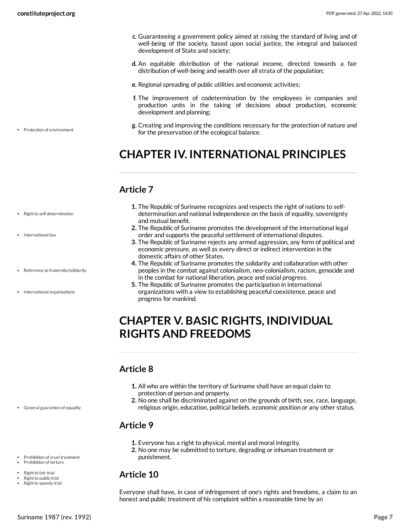- **c.** Guaranteeing a government policy aimed at raising the standard of living and of well-being of the society, based upon social justice, the integral and balanced development of State and society;
- **d.** An equitable distribution of the national income, directed towards a fair distribution of well-being and wealth over all strata of the population;
- **e.** Regional spreading of public utilities and economic activities;
- **f.** The improvement of codetermination by the employees in companies and production units in the taking of decisions about production, economic development and planning;
- **g.** Creating and improving the conditions necessary for the protection of nature and for the preservation of the ecological balance.

## <span id="page-6-0"></span>**CHAPTER IV. INTERNATIONAL PRINCIPLES**

## <span id="page-6-1"></span>**Article 7**

• Right to self determination

• Protection of environment

- International law
- Reference to fraternity/solidarity
- International organizations

- General guarantee of equality
- Prohibition of cruel treatment
- Prohibition of torture
- Right to fair trial
- Right to public trial
- Right to speedy trial
- **1.** The Republic of Suriname recognizes and respects the right of nations to selfdetermination and national independence on the basis of equality, sovereignty and mutual benefit.
- **2.** The Republic of Suriname promotes the development of the international legal order and supports the peaceful settlement of international disputes.
- **3.** The Republic of Suriname rejects any armed aggression, any form of political and economic pressure, as well as every direct or indirect intervention in the domestic affairs of other States.
- **4.** The Republic of Suriname promotes the solidarity and collaboration with other peoples in the combat against colonialism, neo-colonialism, racism, genocide and in the combat for national liberation, peace and social progress.
- **5.** The Republic of Suriname promotes the participation in international organizations with a view to establishing peaceful coexistence, peace and progress for mankind.

## <span id="page-6-2"></span>**CHAPTER V. BASIC RIGHTS, INDIVIDUAL RIGHTS AND FREEDOMS**

## <span id="page-6-3"></span>**Article 8**

- **1.** All who are within the territory of Suriname shall have an equal claim to protection of person and property.
- **2.** No one shall be discriminated against on the grounds of birth, sex, race, language, religious origin, education, political beliefs, economic position or any other status.

### <span id="page-6-4"></span>**Article 9**

- **1.** Everyone has a right to physical, mental and moral integrity.
- **2.** No one may be submitted to torture, degrading or inhuman treatment or punishment.

### <span id="page-6-5"></span>**Article 10**

Everyone shall have, in case of infringement of one's rights and freedoms, a claim to an honest and public treatment of his complaint within a reasonable time by an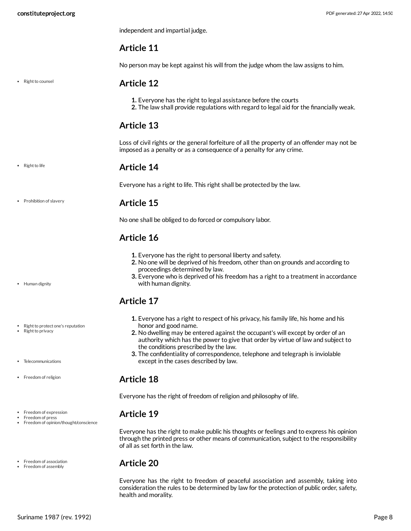• Right to counsel

• Right to life

• Prohibition of slavery

independent and impartial judge.

## <span id="page-7-0"></span>**Article 11**

No person may be kept against his will from the judge whom the law assigns to him.

#### <span id="page-7-1"></span>**Article 12**

**1.** Everyone has the right to legal assistance before the courts **2.** The law shall provide regulations with regard to legal aid for the financially weak.

## <span id="page-7-2"></span>**Article 13**

Loss of civil rights or the general forfeiture of all the property of an offender may not be imposed as a penalty or as a consequence of a penalty for any crime.

### <span id="page-7-3"></span>**Article 14**

Everyone has a right to life. This right shall be protected by the law.

### <span id="page-7-4"></span>**Article 15**

No one shall be obliged to do forced or compulsory labor.

## <span id="page-7-5"></span>**Article 16**

- **1.** Everyone has the right to personal liberty and safety.
- **2.** No one will be deprived of his freedom, other than on grounds and according to proceedings determined by law.
- **3.** Everyone who is deprived of his freedom has a right to a treatment in accordance with human dignity.

## <span id="page-7-6"></span>**Article 17**

- **1.** Everyone has a right to respect of his privacy, his family life, his home and his honor and good name.
- **2.** No dwelling may be entered against the occupant's will except by order of an authority which has the power to give that order by virtue of law and subject to the conditions prescribed by the law.
- **3.** The confidentiality of correspondence, telephone and telegraph is inviolable except in the cases described by law.

## <span id="page-7-7"></span>**Article 18**

Everyone has the right of freedom of religion and philosophy of life.

## <span id="page-7-8"></span>**Article 19**

Everyone has the right to make public his thoughts or feelings and to express his opinion through the printed press or other means of communication, subject to the responsibility of all as set forth in the law.

## <span id="page-7-9"></span>**Article 20**

Everyone has the right to freedom of peaceful association and assembly, taking into consideration the rules to be determined by law for the protection of public order, safety, health and morality.

#### • Human dignity

- Right to protect one's reputation Right to privacy
- 
- Telecommunications
- Freedom of religion
- Freedom of expression
- Freedom of press Freedom of opinion/thought/conscience
- 
- Freedom of association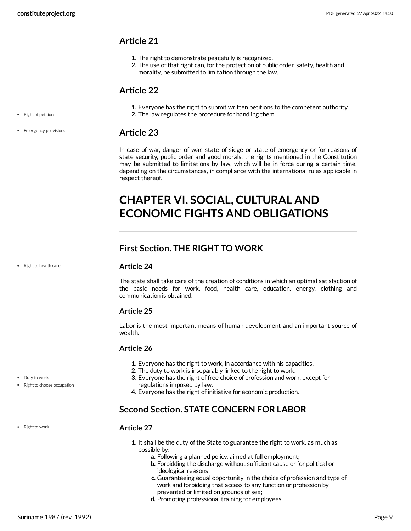• Right of petition

• Emergency provisions

## <span id="page-8-0"></span>**Article 21**

- **1.** The right to demonstrate peacefully is recognized.
- **2.** The use of that right can, for the protection of public order, safety, health and morality, be submitted to limitation through the law.

### <span id="page-8-1"></span>**Article 22**

- **1.** Everyone has the right to submit written petitions to the competent authority.
- **2.** The law regulates the procedure for handling them.

#### <span id="page-8-2"></span>**Article 23**

In case of war, danger of war, state of siege or state of emergency or for reasons of state security, public order and good morals, the rights mentioned in the Constitution may be submitted to limitations by law, which will be in force during a certain time, depending on the circumstances, in compliance with the international rules applicable in respect thereof.

## <span id="page-8-3"></span>**CHAPTER VI. SOCIAL, CULTURAL AND ECONOMIC FIGHTS AND OBLIGATIONS**

## <span id="page-8-4"></span>**First Section. THE RIGHT TO WORK**

• Right to health care

#### <span id="page-8-7"></span>**Article 24**

The state shall take care of the creation of conditions in which an optimal satisfaction of the basic needs for work, food, health care, education, energy, clothing and communication is obtained.

#### **Article 25**

Labor is the most important means of human development and an important source of wealth.

#### <span id="page-8-6"></span>**Article 26**

- **1.** Everyone has the right to work, in accordance with his capacities.
- **2.** The duty to work is inseparably linked to the right to work.
- **3.** Everyone has the right of free choice of profession and work, except for regulations imposed by law.
- **4.** Everyone has the right of initiative for economic production.

## <span id="page-8-5"></span>**Second Section. STATE CONCERN FOR LABOR**

#### <span id="page-8-8"></span>**Article 27**

- **1.** It shall be the duty of the State to guarantee the right to work, as much as possible by:
	- **a.** Following a planned policy, aimed at full employment;
	- **b.** Forbidding the discharge without sufficient cause or for political or ideological reasons;
	- **c.** Guaranteeing equal opportunity in the choice of profession and type of work and forbidding that access to any function or profession by prevented or limited on grounds of sex;
	- **d.** Promoting professional training for employees.

• Right to choose occupation

 $\cdot$  Right to work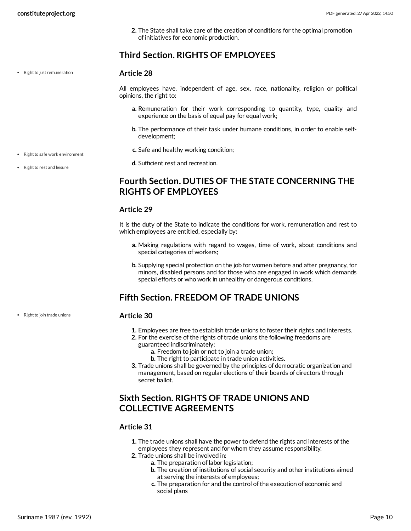**2.** The State shall take care of the creation of conditions for the optimal promotion of initiatives for economic production.

## <span id="page-9-0"></span>**Third Section. RIGHTS OF EMPLOYEES**

• Right to just remuneration

#### <span id="page-9-5"></span>**Article 28**

<span id="page-9-6"></span>All employees have, independent of age, sex, race, nationality, religion or political opinions, the right to:

- **a.** Remuneration for their work corresponding to quantity, type, quality and experience on the basis of equal pay for equal work;
- **b.** The performance of their task under humane conditions, in order to enable selfdevelopment;
- **c.** Safe and healthy working condition;

• Right to rest and leisure

• Right to join trade unions

• Right to safe work environment

**d.** Sufficient rest and recreation.

## <span id="page-9-1"></span>**Fourth Section. DUTIES OF THE STATE CONCERNING THE RIGHTS OF EMPLOYEES**

#### **Article 29**

It is the duty of the State to indicate the conditions for work, remuneration and rest to which employees are entitled, especially by:

- **a.** Making regulations with regard to wages, time of work, about conditions and special categories of workers;
- **b.** Supplying special protection on the job for women before and after pregnancy, for minors, disabled persons and for those who are engaged in work which demands special efforts or who work in unhealthy or dangerous conditions.

## <span id="page-9-2"></span>**Fifth Section. FREEDOM OF TRADE UNIONS**

#### <span id="page-9-4"></span>**Article 30**

- **1.** Employees are free to establish trade unions to foster their rights and interests.
- **2.** For the exercise of the rights of trade unions the following freedoms are guaranteed indiscriminately:
	- **a.** Freedom to join or not to join a trade union;
	- **b.** The right to participate in trade union activities.
- **3.** Trade unions shall be governed by the principles of democratic organization and management, based on regular elections of their boards of directors through secret ballot.

## <span id="page-9-3"></span>**Sixth Section. RIGHTS OF TRADE UNIONS AND COLLECTIVE AGREEMENTS**

#### **Article 31**

- **1.** The trade unions shall have the power to defend the rights and interests of the employees they represent and for whom they assume responsibility.
- **2.** Trade unions shall be involved in:
	- **a.** The preparation of labor legislation;
	- **b.** The creation of institutions of social security and other institutions aimed at serving the interests of employees;
	- **c.** The preparation for and the control of the execution of economic and social plans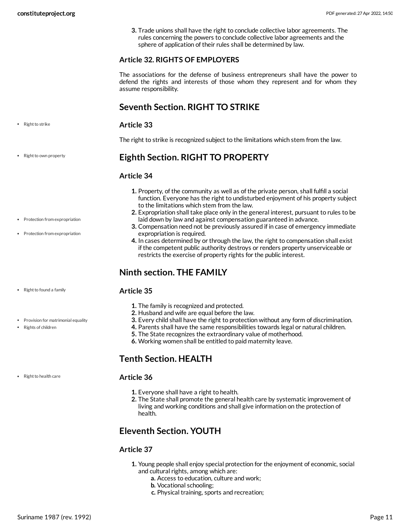**3.** Trade unions shall have the right to conclude collective labor agreements. The rules concerning the powers to conclude collective labor agreements and the sphere of application of their rules shall be determined by law.

#### **Article 32. RIGHTS OF EMPLOYERS**

The associations for the defense of business entrepreneurs shall have the power to defend the rights and interests of those whom they represent and for whom they assume responsibility.

## <span id="page-10-0"></span>**Seventh Section. RIGHT TO STRIKE**

#### **Article 33**

<span id="page-10-8"></span>The right to strike is recognized subject to the limitations which stem from the law.

• Right to own property

• Right to strike

### <span id="page-10-1"></span>**Eighth Section. RIGHT TO PROPERTY**

#### <span id="page-10-5"></span>**Article 34**

- **1.** Property, of the community as well as of the private person, shall fulfill a social function. Everyone has the right to undisturbed enjoyment of his property subject to the limitations which stem from the law.
- **2.** Expropriation shall take place only in the general interest, pursuant to rules to be laid down by law and against compensation guaranteed in advance.
- **3.** Compensation need not be previously assured if in case of emergency immediate expropriation is required.
- **4.** In cases determined by or through the law, the right to compensation shall exist if the competent public authority destroys or renders property unserviceable or restricts the exercise of property rights for the public interest.

## <span id="page-10-2"></span>**Ninth section. THE FAMILY**

#### <span id="page-10-6"></span>**Article 35**

- **1.** The family is recognized and protected.
- **2.** Husband and wife are equal before the law.
- **3.** Every child shall have the right to protection without any form of discrimination.
- **4.** Parents shall have the same responsibilities towards legal or natural children.
- **5.** The State recognizes the extraordinary value of motherhood.
- **6.** Working women shall be entitled to paid maternity leave.

## <span id="page-10-3"></span>**Tenth Section. HEALTH**

#### <span id="page-10-7"></span>**Article 36**

- **1.** Everyone shall have a right to health.
- **2.** The State shall promote the general health care by systematic improvement of living and working conditions and shall give information on the protection of health.

## <span id="page-10-4"></span>**Eleventh Section. YOUTH**

#### **Article 37**

- **1.** Young people shall enjoy special protection for the enjoyment of economic, social and cultural rights, among which are:
	- **a.** Access to education, culture and work;
	- **b.** Vocational schooling;
	- **c.** Physical training, sports and recreation;
- Protection from expropriation
- Right to found a family
- Provision for matrimonial equality
- Rights of children

• Right to health care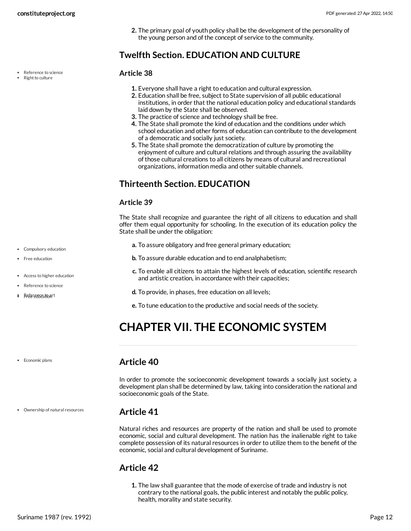Reference to science **Right to culture** 

**2.** The primary goal of youth policy shall be the development of the personality of the young person and of the concept of service to the community.

## <span id="page-11-0"></span>**Twelfth Section. EDUCATION AND CULTURE**

#### <span id="page-11-7"></span>**Article 38**

- **1.** Everyone shall have a right to education and cultural expression.
- **2.** Education shall be free, subject to State supervision of all public educational institutions, in order that the national education policy and educational standards laid down by the State shall be observed.
- **3.** The practice of science and technology shall be free.
- **4.** The State shall promote the kind of education and the conditions under which school education and other forms of education can contribute to the development of a democratic and socially just society.
- **5.** The State shall promote the democratization of culture by promoting the enjoyment of culture and cultural relations and through assuring the availability of those cultural creations to all citizens by means of cultural and recreational organizations, information media and other suitable channels.

## <span id="page-11-1"></span>**Thirteenth Section. EDUCATION**

#### **Article 39**

<span id="page-11-6"></span>The State shall recognize and guarantee the right of all citizens to education and shall offer them equal opportunity for schooling. In the execution of its education policy the State shall be under the obligation:

- **a.** To assure obligatory and free general primary education;
- **b.** To assure durable education and to end analphabetism;
- **c.** To enable all citizens to attain the highest levels of education, scientific research and artistic creation, in accordance with their capacities;
- **d.** To provide, in phases, free education on all levels;
- **e.** To tune education to the productive and social needs of the society.

## <span id="page-11-2"></span>**CHAPTER VII. THE ECONOMIC SYSTEM**

### <span id="page-11-3"></span>**Article 40**

In order to promote the socioeconomic development towards a socially just society, a development plan shall be determined by law, taking into consideration the national and socioeconomic goals of the State.

#### <span id="page-11-4"></span>**Article 41**

Natural riches and resources are property of the nation and shall be used to promote economic, social and cultural development. The nation has the inalienable right to take complete possession of its natural resources in order to utilize them to the benefit of the economic, social and cultural development of Suriname.

## <span id="page-11-5"></span>**Article 42**

**1.** The law shall guarantee that the mode of exercise of trade and industry is not contrary to the national goals, the public interest and notably the public policy, health, morality and state security.

- Compulsory education
- Free education
- Access to higher education
- Reference to science
- **Reference than t**

• Economic plans

Ownership of natural resources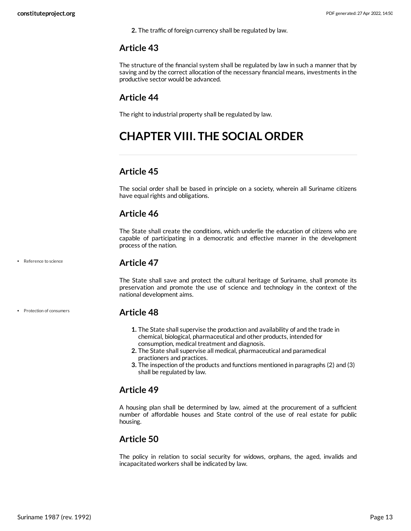**2.** The traffic of foreign currency shall be regulated by law.

## <span id="page-12-0"></span>**Article 43**

The structure of the financial system shall be regulated by law in such a manner that by saving and by the correct allocation of the necessary financial means, investments in the productive sector would be advanced.

## <span id="page-12-1"></span>**Article 44**

The right to industrial property shall be regulated by law.

# <span id="page-12-2"></span>**CHAPTER VIII. THE SOCIAL ORDER**

## <span id="page-12-3"></span>**Article 45**

The social order shall be based in principle on a society, wherein all Suriname citizens have equal rights and obligations.

## <span id="page-12-4"></span>**Article 46**

The State shall create the conditions, which underlie the education of citizens who are capable of participating in a democratic and effective manner in the development process of the nation.

• Reference to science

• Protection of consumers

### <span id="page-12-5"></span>**Article 47**

The State shall save and protect the cultural heritage of Suriname, shall promote its preservation and promote the use of science and technology in the context of the national development aims.

### <span id="page-12-6"></span>**Article 48**

- **1.** The State shall supervise the production and availability of and the trade in chemical, biological, pharmaceutical and other products, intended for consumption, medical treatment and diagnosis.
- **2.** The State shall supervise all medical, pharmaceutical and paramedical practioners and practices.
- **3.** The inspection of the products and functions mentioned in paragraphs (2) and (3) shall be regulated by law.

## <span id="page-12-7"></span>**Article 49**

A housing plan shall be determined by law, aimed at the procurement of a sufficient number of affordable houses and State control of the use of real estate for public housing.

## <span id="page-12-8"></span>**Article 50**

The policy in relation to social security for widows, orphans, the aged, invalids and incapacitated workers shall be indicated by law.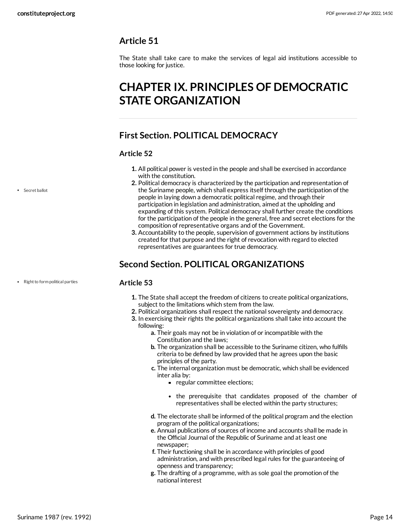## <span id="page-13-0"></span>**Article 51**

The State shall take care to make the services of legal aid institutions accessible to those looking for justice.

## <span id="page-13-1"></span>**CHAPTER IX. PRINCIPLES OF DEMOCRATIC STATE ORGANIZATION**

## <span id="page-13-2"></span>**First Section. POLITICAL DEMOCRACY**

#### <span id="page-13-5"></span>**Article 52**

- **1.** All political power is vested in the people and shall be exercised in accordance with the constitution.
- **2.** Political democracy is characterized by the participation and representation of the Suriname people, which shall express itself through the participation of the people in laying down a democratic political regime, and through their participation in legislation and administration, aimed at the upholding and expanding of this system. Political democracy shall further create the conditions for the participation of the people in the general, free and secret elections for the composition of representative organs and of the Government.
- **3.** Accountability to the people, supervision of government actions by institutions created for that purpose and the right of revocation with regard to elected representatives are guarantees for true democracy.

## <span id="page-13-3"></span>**Second Section. POLITICAL ORGANIZATIONS**

#### • Right to form political parties

#### <span id="page-13-4"></span>**Article 53**

- **1.** The State shall accept the freedom of citizens to create political organizations, subject to the limitations which stem from the law.
- **2.** Political organizations shall respect the national sovereignty and democracy.
- **3.** In exercising their rights the political organizations shall take into account the following:
	- **a.** Their goals may not be in violation of or incompatible with the Constitution and the laws;
	- **b.** The organization shall be accessible to the Suriname citizen, who fulfills criteria to be defined by law provided that he agrees upon the basic principles of the party.
	- **c.** The internal organization must be democratic, which shall be evidenced inter alia by:
		- **regular committee elections;**
		- the prerequisite that candidates proposed of the chamber of representatives shall be elected within the party structures;
	- **d.** The electorate shall be informed of the political program and the election program of the political organizations;
	- **e.** Annual publications of sources of income and accounts shall be made in the Official Journal of the Republic of Suriname and at least one newspaper;
	- **f.** Their functioning shall be in accordance with principles of good administration, and with prescribed legal rules for the guaranteeing of openness and transparency;
	- **g.** The drafting of a programme, with as sole goal the promotion of the national interest

Secret ballot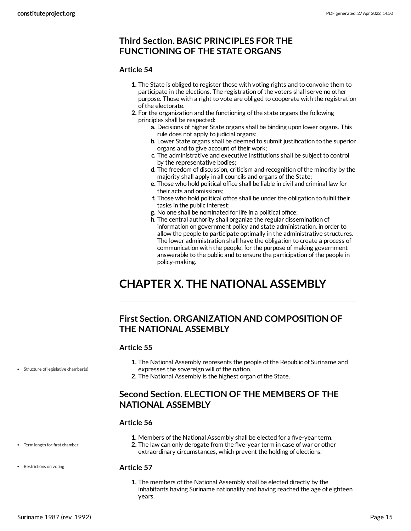## <span id="page-14-0"></span>**Third Section. BASIC PRINCIPLES FOR THE FUNCTIONING OF THE STATE ORGANS**

#### **Article 54**

- **1.** The State is obliged to register those with voting rights and to convoke them to participate in the elections. The registration of the voters shall serve no other purpose. Those with a right to vote are obliged to cooperate with the registration of the electorate.
- **2.** For the organization and the functioning of the state organs the following principles shall be respected:
	- **a.** Decisions of higher State organs shall be binding upon lower organs. This rule does not apply to judicial organs;
	- **b.** Lower State organs shall be deemed to submit justification to the superior organs and to give account of their work;
	- **c.** The administrative and executive institutions shall be subject to control by the representative bodies;
	- **d.** The freedom of discussion, criticism and recognition of the minority by the majority shall apply in all councils and organs of the State;
	- **e.** Those who hold political office shall be liable in civil and criminal law for their acts and omissions;
	- **f.** Those who hold political office shall be under the obligation to fulfill their tasks in the public interest;
	- **g.** No one shall be nominated for life in a political office;
	- **h.** The central authority shall organize the regular dissemination of information on government policy and state administration, in order to allow the people to participate optimally in the administrative structures. The lower administration shall have the obligation to create a process of communication with the people, for the purpose of making government answerable to the public and to ensure the participation of the people in policy-making.

# <span id="page-14-1"></span>**CHAPTER X. THE NATIONAL ASSEMBLY**

## <span id="page-14-2"></span>**First Section. ORGANIZATION AND COMPOSITION OF THE NATIONAL ASSEMBLY**

#### <span id="page-14-5"></span>**Article 55**

- **1.** The National Assembly represents the people of the Republic of Suriname and expresses the sovereign will of the nation.
- **2.** The National Assembly is the highest organ of the State.

## <span id="page-14-3"></span>**Second Section. ELECTION OF THE MEMBERS OF THE NATIONAL ASSEMBLY**

#### <span id="page-14-6"></span>**Article 56**

- **1.** Members of the National Assembly shall be elected for a five-year term.
- **2.** The law can only derogate from the five-year term in case of war or other extraordinary circumstances, which prevent the holding of elections.

#### <span id="page-14-4"></span>**Article 57**

**1.** The members of the National Assembly shall be elected directly by the inhabitants having Suriname nationality and having reached the age of eighteen years.

• Structure of legislative chamber(s)

Term length for first chamber

• Restrictions on voting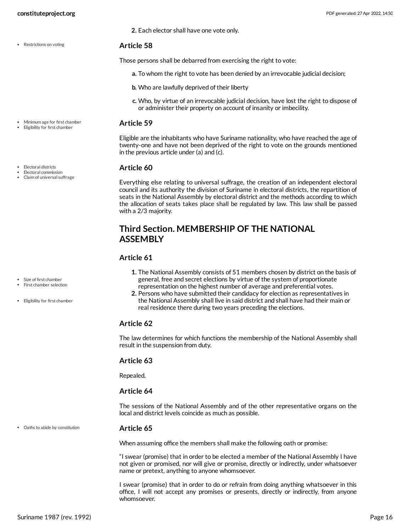• Restrictions on voting

- Minimum age for first chamber
- Eligibility for first chamber
- Electoral districts Electoral commission
- Claim of universal suffrage

- Size of first chamber
- First chamber selection
- Eligibility for first chamber

**2.** Each elector shall have one vote only.

#### <span id="page-15-5"></span>**Article 58**

Those persons shall be debarred from exercising the right to vote:

- **a.** To whom the right to vote has been denied by an irrevocable judicial decision;
- **b.** Who are lawfully deprived of their liberty
- **c.** Who, by virtue of an irrevocable judicial decision, have lost the right to dispose of or administer their property on account of insanity or imbecility.

#### <span id="page-15-2"></span>**Article 59**

Eligible are the inhabitants who have Suriname nationality, who have reached the age of twenty-one and have not been deprived of the right to vote on the grounds mentioned in the previous article under (a) and (c).

#### <span id="page-15-1"></span>**Article 60**

Everything else relating to universal suffrage, the creation of an independent electoral council and its authority the division of Suriname in electoral districts, the repartition of seats in the National Assembly by electoral district and the methods according to which the allocation of seats takes place shall be regulated by law. This law shall be passed with a 2/3 majority.

## <span id="page-15-0"></span>**Third Section. MEMBERSHIP OF THE NATIONAL ASSEMBLY**

#### <span id="page-15-3"></span>**Article 61**

- **1.** The National Assembly consists of 51 members chosen by district on the basis of general, free and secret elections by virtue of the system of proportionate representation on the highest number of average and preferential votes.
- **2.** Persons who have submitted their candidacy for election as representatives in the National Assembly shall live in said district and shall have had their main or real residence there during two years preceding the elections.

#### **Article 62**

The law determines for which functions the membership of the National Assembly shall result in the suspension from duty.

#### **Article 63**

Repealed.

#### **Article 64**

The sessions of the National Assembly and of the other representative organs on the local and district levels coincide as much as possible.

Oaths to abide by constitution

#### <span id="page-15-4"></span>**Article 65**

When assuming office the members shall make the following oath or promise:

"I swear (promise) that in order to be elected a member of the National Assembly I have not given or promised, nor will give or promise, directly or indirectly, under whatsoever name or pretext, anything to anyone whomsoever.

I swear (promise) that in order to do or refrain from doing anything whatsoever in this office, I will not accept any promises or presents, directly or indirectly, from anyone whomsoever.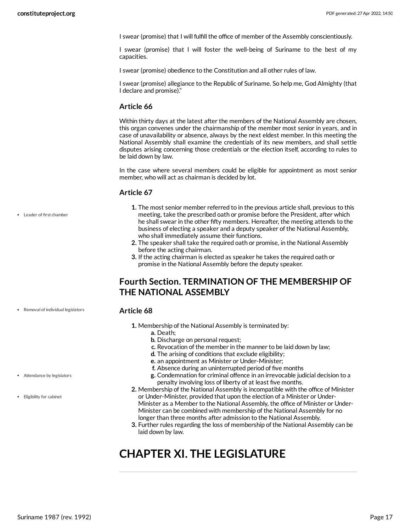I swear (promise) that I will fulfill the office of member of the Assembly conscientiously.

I swear (promise) that I will foster the well-being of Suriname to the best of my capacities.

I swear (promise) obedience to the Constitution and all other rules of law.

I swear (promise) allegiance to the Republic of Suriname. So help me, God Almighty (that I declare and promise)."

#### **Article 66**

Within thirty days at the latest after the members of the National Assembly are chosen, this organ convenes under the chairmanship of the member most senior in years, and in case of unavailability or absence, always by the next eldest member. In this meeting the National Assembly shall examine the credentials of its new members, and shall settle disputes arising concerning those credentials or the election itself, according to rules to be laid down by law.

In the case where several members could be eligible for appointment as most senior member, who will act as chairman is decided by lot.

#### <span id="page-16-3"></span>**Article 67**

Leader of first chamber

- **1.** The most senior member referred to in the previous article shall, previous to this meeting, take the prescribed oath or promise before the President, after which he shall swear in the other fifty members. Hereafter, the meeting attends to the business of electing a speaker and a deputy speaker of the National Assembly, who shall immediately assume their functions.
- **2.** The speaker shall take the required oath or promise, in the National Assembly before the acting chairman.
- **3.** If the acting chairman is elected as speaker he takes the required oath or promise in the National Assembly before the deputy speaker.

## <span id="page-16-0"></span>**Fourth Section. TERMINATION OF THE MEMBERSHIP OF THE NATIONAL ASSEMBLY**

#### <span id="page-16-2"></span>**Article 68**

- **1.** Membership of the National Assembly is terminated by:
	- **a.** Death;
	- **b.** Discharge on personal request;
	- **c.** Revocation of the member in the manner to be laid down by law;
	- **d.** The arising of conditions that exclude eligibility;
	- **e.** an appointment as Minister or Under-Minister;
	- **f.** Absence during an uninterrupted period of five months
	- **g.** Condemnation for criminal offence in an irrevocable judicial decision to a penalty involving loss of liberty of at least five months.
- **2.** Membership of the National Assembly is incompatible with the office of Minister or Under-Minister, provided that upon the election of a Minister or Under-Minister as a Member to the National Assembly, the office of Minister or Under-
- Minister can be combined with membership of the National Assembly for no longer than three months after admission to the National Assembly.
- **3.** Further rules regarding the loss of membership of the National Assembly can be laid down by law.

# <span id="page-16-1"></span>**CHAPTER XI. THE LEGISLATURE**

Attendance by legislators

• Removal of individual legislators

Eligibility for cabinet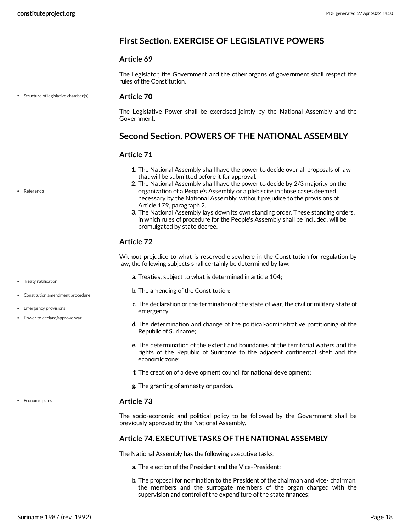## <span id="page-17-0"></span>**First Section. EXERCISE OF LEGISLATIVE POWERS**

#### **Article 69**

The Legislator, the Government and the other organs of government shall respect the rules of the Constitution.

• Structure of legislative chamber(s)

<span id="page-17-6"></span>**Article 70**

The Legislative Power shall be exercised jointly by the National Assembly and the Government.

## <span id="page-17-1"></span>**Second Section. POWERS OF THE NATIONAL ASSEMBLY**

#### <span id="page-17-5"></span>**Article 71**

- **1.** The National Assembly shall have the power to decide over all proposals of law that will be submitted before it for approval.
- **2.** The National Assembly shall have the power to decide by 2/3 majority on the organization of a People's Assembly or a plebiscite in those cases deemed necessary by the National Assembly, without prejudice to the provisions of Article 179, paragraph 2.
- **3.** The National Assembly lays down its own standing order. These standing orders, in which rules of procedure for the People's Assembly shall be included, will be promulgated by state decree.

### **Article 72**

<span id="page-17-2"></span>Without prejudice to what is reserved elsewhere in the Constitution for regulation by law, the following subjects shall certainly be determined by law:

- **a.** Treaties, subject to what is determined in article 104;
- **b.** The amending of the Constitution;
- **c.** The declaration or the termination of the state of war, the civil or military state of emergency
- **d.** The determination and change of the political-administrative partitioning of the Republic of Suriname;
- **e.** The determination of the extent and boundaries of the territorial waters and the rights of the Republic of Suriname to the adjacent continental shelf and the economic zone;
- **f.** The creation of a development council for national development;
- **g.** The granting of amnesty or pardon.

#### <span id="page-17-4"></span>**Article 73**

The socio-economic and political policy to be followed by the Government shall be previously approved by the National Assembly.

#### **Article 74. EXECUTIVE TASKS OF THE NATIONAL ASSEMBLY**

<span id="page-17-3"></span>The National Assembly has the following executive tasks:

- **a.** The election of the President and the Vice-President;
- **b.** The proposal for nomination to the President of the chairman and vice- chairman, the members and the surrogate members of the organ charged with the supervision and control of the expenditure of the state finances;

Referenda

• Treaty ratification

- Constitution amendment procedure
- Emergency provisions
- Power to declare/approve war

• Fronomic plans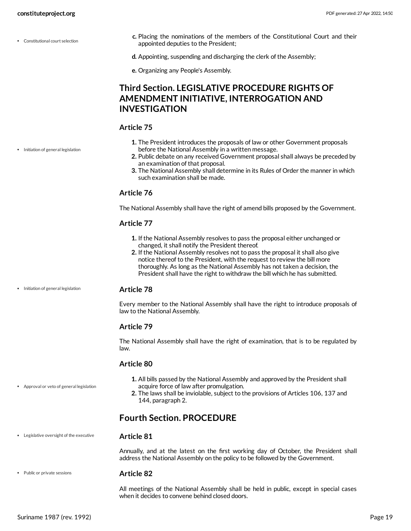Constitutional court selection

• Initiation of general legislation

- **c.** Placing the nominations of the members of the Constitutional Court and their appointed deputies to the President;
- **d.** Appointing, suspending and discharging the clerk of the Assembly;
- **e.** Organizing any People's Assembly.

## <span id="page-18-0"></span>**Third Section. LEGISLATIVE PROCEDURE RIGHTS OF AMENDMENT INITIATIVE, INTERROGATION AND INVESTIGATION**

#### <span id="page-18-3"></span>**Article 75**

| 1. The President introduces the proposals of law or other Government proposals |  |
|--------------------------------------------------------------------------------|--|
| before the National Assembly in a written message.                             |  |

- **2.** Public debate on any received Government proposal shall always be preceded by an examination of that proposal.
- **3.** The National Assembly shall determine in its Rules of Order the manner in which such examination shall be made.

#### **Article 76**

The National Assembly shall have the right of amend bills proposed by the Government.

#### **Article 77**

- **1.** If the National Assembly resolves to pass the proposal either unchanged or changed, it shall notify the President thereof.
- **2.** If the National Assembly resolves not to pass the proposal it shall also give notice thereof to the President, with the request to review the bill more thoroughly. As long as the National Assembly has not taken a decision, the President shall have the right to withdraw the bill which he has submitted.

• Initiation of general legislation

#### **Article 78**

Every member to the National Assembly shall have the right to introduce proposals of law to the National Assembly.

#### **Article 79**

The National Assembly shall have the right of examination, that is to be regulated by law.

#### <span id="page-18-2"></span>**Article 80**

- **1.** All bills passed by the National Assembly and approved by the President shall acquire force of law after promulgation.
- **2.** The laws shall be inviolable, subject to the provisions of Articles 106, 137 and 144, paragraph 2.

## <span id="page-18-1"></span>**Fourth Section. PROCEDURE**

Legislative oversight of the executive

Approval or veto of general legislation

#### <span id="page-18-4"></span>**Article 81**

Annually, and at the latest on the first working day of October, the President shall address the National Assembly on the policy to be followed by the Government.

#### **Article 82** Public or private sessions

<span id="page-18-5"></span>All meetings of the National Assembly shall be held in public, except in special cases when it decides to convene behind closed doors.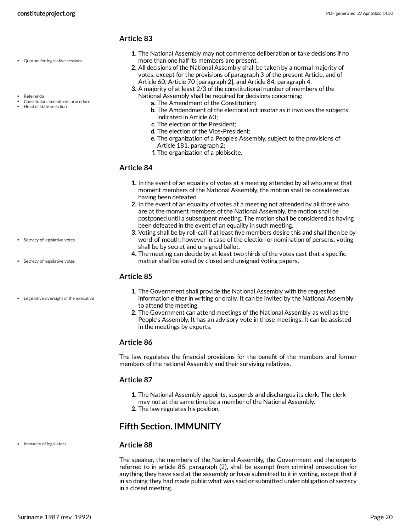#### <span id="page-19-1"></span>**Article 83**

- Quorum for legislative sessions
- Referenda
- Constitution amendment procedure
- Head of state selection

• Secrecy of legislative votes

• Secrecy of legislative votes

Legislative oversight of the executive

- **1.** The National Assembly may not commence deliberation or take decisions if no more than one half its members are present.
- **2.** All decisions of the National Assembly shall be taken by a normal majority of votes, except for the provisions of paragraph 3 of the present Article, and of Article 60, Article 70 [paragraph 2], and Article 84, paragraph 4.
- **3.** A majority of at least 2/3 of the constitutional number of members of the National Assembly shall be required for decisions concerning:
	- **a.** The Amendment of the Constitution;
	- **b.** The Amdendment of the electoral act insofar as it involves the subjects indicated in Article 60;
	- **c.** The election of the President;
	- **d.** The election of the Vice-President;
	- **e.** The organization of a People's Assembly, subject to the provisions of Article 181, paragraph 2;
	- **f.** The organization of a plebiscite.

### <span id="page-19-4"></span>**Article 84**

- **1.** In the event of an equality of votes at a meeting attended by all who are at that moment members of the National Assembly, the motion shall be considered as having been defeated.
- **2.** In the event of an equality of votes at a meeting not attended by all those who are at the moment members of the National Assembly, the motion shall be postponed until a subsequent meeting. The motion shall be considered as having been defeated in the event of an equality in such meeting.
- **3.** Voting shall be by roll-call if at least five members desire this and shall then be by word-of-mouth; however in case of the election or nomination of persons, voting shall be by secret and unsigned ballot.
- **4.** The meeting can decide by at least two thirds of the votes cast that a specific matter shall be voted by closed and unsigned voting papers.

#### <span id="page-19-3"></span>**Article 85**

- **1.** The Government shall provide the National Assembly with the requested information either in writing or orally. It can be invited by the National Assembly to attend the meeting.
- **2.** The Government can attend meetings of the National Assembly as well as the People's Assembly. It has an advisory vote in those meetings. It can be assisted in the meetings by experts.

#### **Article 86**

The law regulates the financial provisions for the benefit of the members and former members of the national Assembly and their surviving relatives.

#### **Article 87**

<span id="page-19-2"></span>**Article 88**

- **1.** The National Assembly appoints, suspends and discharges its clerk. The clerk may not at the same time be a member of the National Assembly.
- **2.** The law regulates his position.

### <span id="page-19-0"></span>**Fifth Section. IMMUNITY**

#### • Immunity of legislators

#### The speaker, the members of the National Assembly, the Government and the experts referred to in article 85, paragraph (2), shall be exempt from criminal prosecution for anything they have said at the assembly or have submitted to it in writing, except that if in so doing they had made public what was said or submitted under obligation of secrecy in a closed meeting.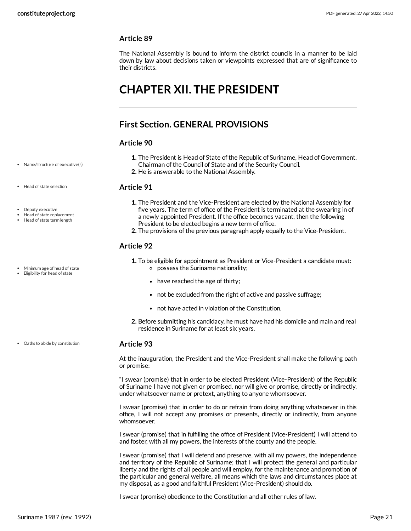#### **Article 89**

The National Assembly is bound to inform the district councils in a manner to be laid down by law about decisions taken or viewpoints expressed that are of significance to their districts.

## <span id="page-20-0"></span>**CHAPTER XII. THE PRESIDENT**

## <span id="page-20-1"></span>**First Section. GENERAL PROVISIONS**

#### <span id="page-20-4"></span>**Article 90**

- **1.** The President is Head of State of the Republic of Suriname, Head of Government,
- Chairman of the Council of State and of the Security Council.
- **2.** He is answerable to the National Assembly.

#### <span id="page-20-2"></span>**Article 91**

- **1.** The President and the Vice-President are elected by the National Assembly for five years. The term of office of the President is terminated at the swearing in of a newly appointed President. If the office becomes vacant, then the following President to be elected begins a new term of office.
- **2.** The provisions of the previous paragraph apply equally to the Vice-President.

#### <span id="page-20-3"></span>**Article 92**

- **1.** To be eligible for appointment as President or Vice-President a candidate must:
	- possess the Suriname nationality;
	- have reached the age of thirty;
	- not be excluded from the right of active and passive suffrage;
	- not have acted in violation of the Constitution.
- **2.** Before submitting his candidacy, he must have had his domicile and main and real residence in Suriname for at least six years.

#### <span id="page-20-5"></span>**Article 93**

At the inauguration, the President and the Vice-President shall make the following oath or promise:

"I swear (promise) that in order to be elected President (Vice-President) of the Republic of Suriname I have not given or promised, nor will give or promise, directly or indirectly, under whatsoever name or pretext, anything to anyone whomsoever.

I swear (promise) that in order to do or refrain from doing anything whatsoever in this office, I will not accept any promises or presents, directly or indirectly, from anyone whomsoever.

I swear (promise) that in fulfilling the office of President (Vice-President) I will attend to and foster, with all my powers, the interests of the county and the people.

I swear (promise) that I will defend and preserve, with all my powers, the independence and territory of the Republic of Suriname; that I will protect the general and particular liberty and the rights of all people and will employ, for the maintenance and promotion of the particular and general welfare, all means which the laws and circumstances place at my disposal, as a good and faithful President (Vice-President) should do.

I swear (promise) obedience to the Constitution and all other rules of law.

- Name/structure of executive(s)
- Head of state selection
- **•** Deputy executive
- Head of state replacement
- Head of state term length
- Minimum age of head of state Eligibility for head of state

Oaths to abide by constitution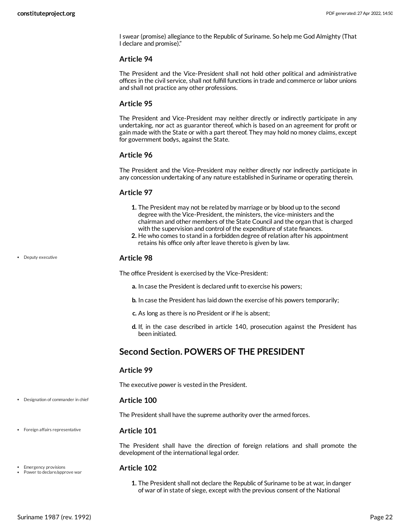I swear (promise) allegiance to the Republic of Suriname. So help me God Almighty (That I declare and promise)."

#### **Article 94**

The President and the Vice-President shall not hold other political and administrative offices in the civil service, shall not fulfill functions in trade and commerce or labor unions and shall not practice any other professions.

#### **Article 95**

The President and Vice-President may neither directly or indirectly participate in any undertaking, nor act as guarantor thereof, which is based on an agreement for profit or gain made with the State or with a part thereof. They may hold no money claims, except for government bodys, against the State.

#### **Article 96**

The President and the Vice-President may neither directly nor indirectly participate in any concession undertaking of any nature established in Suriname or operating therein.

#### **Article 97**

- **1.** The President may not be related by marriage or by blood up to the second degree with the Vice-President, the ministers, the vice-ministers and the chairman and other members of the State Council and the organ that is charged with the supervision and control of the expenditure of state finances.
- **2.** He who comes to stand in a forbidden degree of relation after his appointment retains his office only after leave thereto is given by law.

#### <span id="page-21-1"></span>**Article 98**

The office President is exercised by the Vice-President:

- **a.** In case the President is declared unfit to exercise his powers;
- **b.** In case the President has laid down the exercise of his powers temporarily;
- **c.** As long as there is no President or if he is absent;
- **d.** If, in the case described in article 140, prosecution against the President has been initiated.

### <span id="page-21-0"></span>**Second Section. POWERS OF THE PRESIDENT**

#### **Article 99**

The executive power is vested in the President.

Designation of commander in chief

Foreign affairs representative

Emergency provisions Power to declare/approve war

Deputy executive

<span id="page-21-2"></span>**Article 100**

<span id="page-21-4"></span>The President shall have the supreme authority over the armed forces.

#### **Article 101**

The President shall have the direction of foreign relations and shall promote the development of the international legal order.

#### <span id="page-21-3"></span>**Article 102**

**1.** The President shall not declare the Republic of Suriname to be at war, in danger of war of in state of siege, except with the previous consent of the National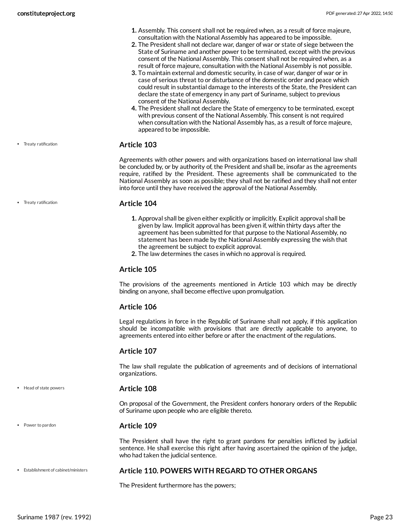• Treaty ratification

- **1.** Assembly. This consent shall not be required when, as a result of force majeure, consultation with the National Assembly has appeared to be impossible.
- **2.** The President shall not declare war, danger of war or state of siege between the State of Suriname and another power to be terminated, except with the previous consent of the National Assembly. This consent shall not be required when, as a result of force majeure, consultation with the National Assembly is not possible.
- **3.** To maintain external and domestic security, in case of war, danger of war or in case of serious threat to or disturbance of the domestic order and peace which could result in substantial damage to the interests of the State, the President can declare the state of emergency in any part of Suriname, subject to previous consent of the National Assembly.
- **4.** The President shall not declare the State of emergency to be terminated, except with previous consent of the National Assembly. This consent is not required when consultation with the National Assembly has, as a result of force majeure, appeared to be impossible.

**Article 103** • Treaty ratification

> <span id="page-22-4"></span>Agreements with other powers and with organizations based on international law shall be concluded by, or by authority of, the President and shall be, insofar as the agreements require, ratified by the President. These agreements shall be communicated to the National Assembly as soon as possible; they shall not be ratified and they shall not enter into force until they have received the approval of the National Assembly.

#### **Article 104**

- **1.** Approval shall be given either explicitly or implicitly. Explicit approval shall be given by law. Implicit approval has been given if, within thirty days after the agreement has been submitted for that purpose to the National Assembly, no statement has been made by the National Assembly expressing the wish that the agreement be subject to explicit approval.
- **2.** The law determines the cases in which no approval is required.

#### **Article 105**

The provisions of the agreements mentioned in Article 103 which may be directly binding on anyone, shall become effective upon promulgation.

#### **Article 106**

Legal regulations in force in the Republic of Suriname shall not apply, if this application should be incompatible with provisions that are directly applicable to anyone, to agreements entered into either before or after the enactment of the regulations.

#### **Article 107**

The law shall regulate the publication of agreements and of decisions of international organizations.

#### **Article 108** • Head of state powers

<span id="page-22-2"></span>On proposal of the Government, the President confers honorary orders of the Republic of Suriname upon people who are eligible thereto.

#### **Article 109**

<span id="page-22-3"></span>The President shall have the right to grant pardons for penalties inflicted by judicial sentence. He shall exercise this right after having ascertained the opinion of the judge, who had taken the judicial sentence.

**Article 110. POWERS WITH REGARD TO OTHER ORGANS** Establishment of cabinet/ministers

<span id="page-22-1"></span><span id="page-22-0"></span>The President furthermore has the powers;

• Power to pardon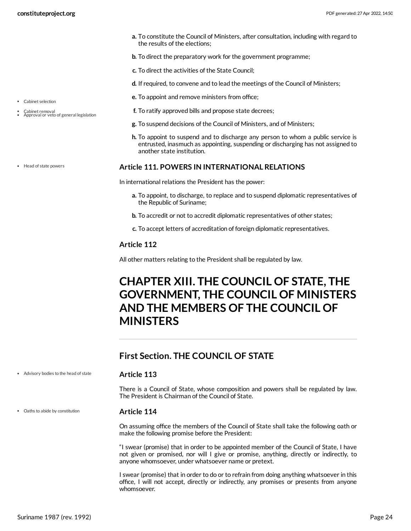- **a.** To constitute the Council of Ministers, after consultation, including with regard to the results of the elections;
- **b.** To direct the preparatory work for the government programme;
- **c.** To direct the activities of the State Council;
- **d.** If required, to convene and to lead the meetings of the Council of Ministers;
- **e.** To appoint and remove ministers from office;
- **f.** To ratify approved bills and propose state decrees;
- **g.** To suspend decisions of the Council of Ministers, and of Ministers;
- **h.** To appoint to suspend and to discharge any person to whom a public service is entrusted, inasmuch as appointing, suspending or discharging has not assigned to another state institution.

#### <span id="page-23-3"></span>**Article 111. POWERS IN INTERNATIONAL RELATIONS**

In international relations the President has the power:

- **a.** To appoint, to discharge, to replace and to suspend diplomatic representatives of the Republic of Suriname;
- **b.** To accredit or not to accredit diplomatic representatives of other states;
- **c.** To accept letters of accreditation of foreign diplomatic representatives.

#### **Article 112**

All other matters relating to the President shall be regulated by law.

## <span id="page-23-0"></span>**CHAPTER XIII. THE COUNCIL OF STATE, THE GOVERNMENT, THE COUNCIL OF MINISTERS AND THE MEMBERS OF THE COUNCIL OF MINISTERS**

## <span id="page-23-1"></span>**First Section. THE COUNCIL OF STATE**

Advisory bodies to the head of state

<span id="page-23-2"></span>**Article 113**

There is a Council of State, whose composition and powers shall be regulated by law. The President is Chairman of the Council of State.

#### **Article 114** Oaths to abide by constitution

<span id="page-23-4"></span>On assuming office the members of the Council of State shall take the following oath or make the following promise before the President:

"I swear (promise) that in order to be appointed member of the Council of State, I have not given or promised, nor will I give or promise, anything, directly or indirectly, to anyone whomsoever, under whatsoever name or pretext.

I swear (promise) that in order to do or to refrain from doing anything whatsoever in this office, I will not accept, directly or indirectly, any promises or presents from anyone whomsoever.

- Cabinet selection
- Cabinet removal Approval or veto of general legislation

• Head of state powers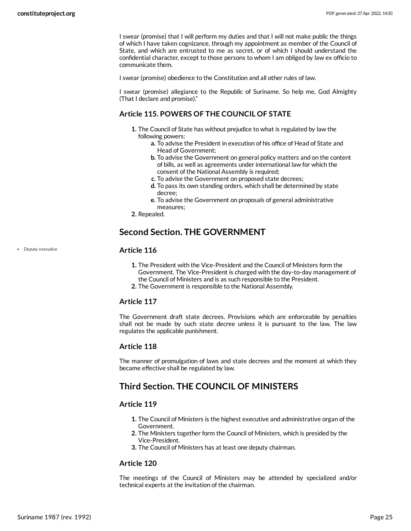I swear (promise) that I will perform my duties and that I will not make public the things of which I have taken cognizance, through my appointment as member of the Council of State, and which are entrusted to me as secret, or of which I should understand the confidential character, except to those persons to whom I am obliged by law ex officio to communicate them.

I swear (promise) obedience to the Constitution and all other rules of law.

I swear (promise) allegiance to the Republic of Suriname. So help me, God Almighty (That I declare and promise)."

#### **Article 115. POWERS OF THE COUNCIL OF STATE**

- **1.** The Council of State has without prejudice to what is regulated by law the following powers:
	- **a.** To advise the President in execution of his office of Head of State and Head of Government;
	- **b.** To advise the Government on general policy matters and on the content of bills, as well as agreements under international law for which the consent of the National Assembly is required;
	- **c.** To advise the Government on proposed state decrees;
	- **d.** To pass its own standing orders, which shall be determined by state decree;
	- **e.** To advise the Government on proposals of general administrative measures;
- **2.** Repealed.

## <span id="page-24-0"></span>**Second Section. THE GOVERNMENT**

#### • Deputy executive

#### <span id="page-24-2"></span>**Article 116**

- **1.** The President with the Vice-President and the Council of Ministers form the Government. The Vice-President is charged with the day-to-day management of the Council of Ministers and is as such responsible to the President.
- **2.** The Government is responsible to the National Assembly.

#### **Article 117**

The Government draft state decrees. Provisions which are enforceable by penalties shall not be made by such state decree unless it is pursuant to the law. The law regulates the applicable punishment.

#### **Article 118**

The manner of promulgation of laws and state decrees and the moment at which they became effective shall be regulated by law.

### <span id="page-24-1"></span>**Third Section. THE COUNCIL OF MINISTERS**

#### **Article 119**

- **1.** The Council of Ministers is the highest executive and administrative organ of the Government.
- **2.** The Ministers together form the Council of Ministers, which is presided by the Vice-President.
- **3.** The Council of Ministers has at least one deputy chairman.

#### **Article 120**

The meetings of the Council of Ministers may be attended by specialized and/or technical experts at the invitation of the chairman.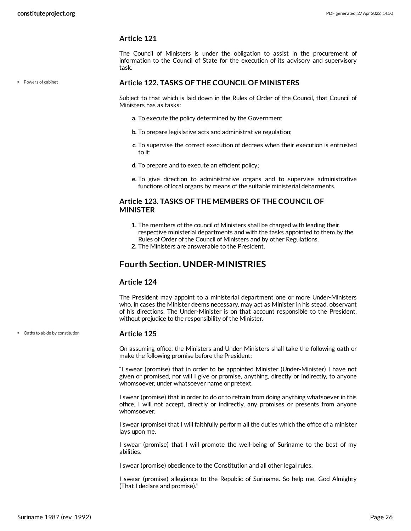#### **Article 121**

The Council of Ministers is under the obligation to assist in the procurement of information to the Council of State for the execution of its advisory and supervisory task.

• Powers of cabinet

#### <span id="page-25-2"></span>**Article 122. TASKS OF THE COUNCIL OF MINISTERS**

Subject to that which is laid down in the Rules of Order of the Council, that Council of Ministers has as tasks:

- **a.** To execute the policy determined by the Government
- **b.** To prepare legislative acts and administrative regulation;
- **c.** To supervise the correct execution of decrees when their execution is entrusted to it;
- **d.** To prepare and to execute an efficient policy;
- **e.** To give direction to administrative organs and to supervise administrative functions of local organs by means of the suitable ministerial debarments.

#### **Article 123. TASKS OF THE MEMBERS OF THE COUNCIL OF MINISTER**

- **1.** The members of the council of Ministers shall be charged with leading their respective ministerial departments and with the tasks appointed to them by the Rules of Order of the Council of Ministers and by other Regulations.
- **2.** The Ministers are answerable to the President.

### <span id="page-25-0"></span>**Fourth Section. UNDER-MINISTRIES**

#### **Article 124**

The President may appoint to a ministerial department one or more Under-Ministers who, in cases the Minister deems necessary, may act as Minister in his stead, observant of his directions. The Under-Minister is on that account responsible to the President, without prejudice to the responsibility of the Minister.

#### <span id="page-25-1"></span>**Article 125**

On assuming office, the Ministers and Under-Ministers shall take the following oath or make the following promise before the President:

"I swear (promise) that in order to be appointed Minister (Under-Minister) I have not given or promised, nor will I give or promise, anything, directly or indirectly, to anyone whomsoever, under whatsoever name or pretext.

I swear (promise) that in order to do or to refrain from doing anything whatsoever in this office, I will not accept, directly or indirectly, any promises or presents from anyone whomsoever.

I swear (promise) that I will faithfully perform all the duties which the office of a minister lays upon me.

I swear (promise) that I will promote the well-being of Suriname to the best of my abilities.

I swear (promise) obedience to the Constitution and all other legal rules.

I swear (promise) allegiance to the Republic of Suriname. So help me, God Almighty (That I declare and promise)."

Oaths to abide by constitution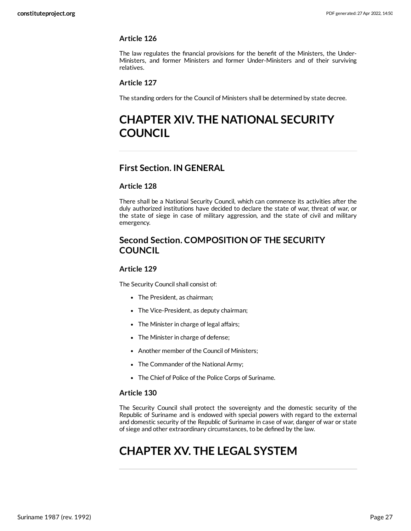#### **Article 126**

The law regulates the financial provisions for the benefit of the Ministers, the Under-Ministers, and former Ministers and former Under-Ministers and of their surviving relatives.

#### **Article 127**

The standing orders for the Council of Ministers shall be determined by state decree.

## <span id="page-26-0"></span>**CHAPTER XIV. THE NATIONAL SECURITY COUNCIL**

### <span id="page-26-1"></span>**First Section. IN GENERAL**

#### **Article 128**

There shall be a National Security Council, which can commence its activities after the duly authorized institutions have decided to declare the state of war, threat of war, or the state of siege in case of military aggression, and the state of civil and military emergency.

## <span id="page-26-2"></span>**Second Section. COMPOSITION OF THE SECURITY COUNCIL**

#### **Article 129**

The Security Council shall consist of:

- The President, as chairman;
- The Vice-President, as deputy chairman;
- The Minister in charge of legal affairs;
- The Minister in charge of defense;
- Another member of the Council of Ministers;
- The Commander of the National Army;
- The Chief of Police of the Police Corps of Suriname.

#### **Article 130**

The Security Council shall protect the sovereignty and the domestic security of the Republic of Suriname and is endowed with special powers with regard to the external and domestic security of the Republic of Suriname in case of war, danger of war or state of siege and other extraordinary circumstances, to be defined by the law.

## <span id="page-26-3"></span>**CHAPTER XV. THE LEGAL SYSTEM**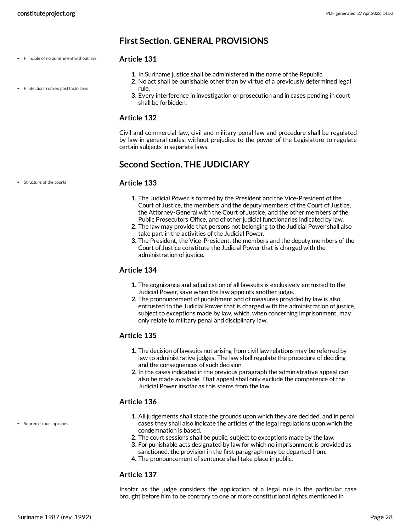## <span id="page-27-2"></span><span id="page-27-0"></span>**First Section. GENERAL PROVISIONS**

- **Article 131** • Principle of no punishment without law
	- **1.** In Suriname justice shall be administered in the name of the Republic.
	- **2.** No act shall be punishable other than by virtue of a previously determined legal rule.
	- **3.** Every interference in investigation or prosecution and in cases pending in court shall be forbidden.

#### **Article 132**

Civil and commercial law, civil and military penal law and procedure shall be regulated by law in general codes, without prejudice to the power of the Legislature to regulate certain subjects in separate laws.

## <span id="page-27-1"></span>**Second Section. THE JUDICIARY**

#### <span id="page-27-3"></span>**Article 133**

- **1.** The Judicial Power is formed by the President and the Vice-President of the Court of Justice, the members and the deputy members of the Court of Justice, the Attorney-General with the Court of Justice, and the other members of the Public Prosecutors Office, and of other judicial functionaries indicated by law.
- **2.** The law may provide that persons not belonging to the Judicial Power shall also take part in the activities of the Judicial Power.
- **3.** The President, the Vice-President, the members and the deputy members of the Court of Justice constitute the Judicial Power that is charged with the administration of justice.

#### **Article 134**

- **1.** The cognizance and adjudication of all lawsuits is exclusively entrusted to the Judicial Power, save when the law appoints another judge.
- **2.** The pronouncement of punishment and of measures provided by law is also entrusted to the Judicial Power that is charged with the administration of justice, subject to exceptions made by law, which, when concerning imprisonment, may only relate to military penal and disciplinary law.

#### **Article 135**

- **1.** The decision of lawsuits not arising from civil law relations may be referred by law to administrative judges. The law shall regulate the procedure of deciding and the consequences of such decision.
- **2.** In the cases indicated in the previous paragraph the administrative appeal can also be made available. That appeal shall only exclude the competence of the Judicial Power insofar as this stems from the law.

#### <span id="page-27-4"></span>**Article 136**

- **1.** All judgements shall state the grounds upon which they are decided, and in penal cases they shall also indicate the articles of the legal regulations upon which the condemnation is based.
- **2.** The court sessions shall be public, subject to exceptions made by the law.
- **3.** For punishable acts designated by law for which no imprisonment is provided as sanctioned, the provision in the first paragraph may be departed from.
- **4.** The pronouncement of sentence shall take place in public.

### **Article 137**

Insofar as the judge considers the application of a legal rule in the particular case brought before him to be contrary to one or more constitutional rights mentioned in

• Protection from ex post facto laws

Structure of the courts

Supreme court opinions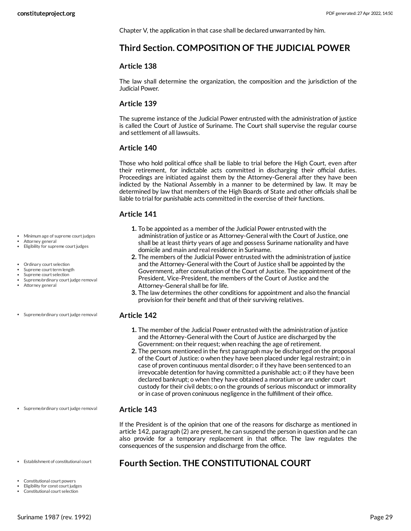Chapter V, the application in that case shall be declared unwarranted by him.

## <span id="page-28-0"></span>**Third Section. COMPOSITION OF THE JUDICIAL POWER**

#### **Article 138**

The law shall determine the organization, the composition and the jurisdiction of the Judicial Power.

#### **Article 139**

The supreme instance of the Judicial Power entrusted with the administration of justice is called the Court of Justice of Suriname. The Court shall supervise the regular course and settlement of all lawsuits.

#### **Article 140**

Those who hold political office shall be liable to trial before the High Court, even after their retirement, for indictable acts committed in discharging their official duties. Proceedings are initiated against them by the Attorney-General after they have been indicted by the National Assembly in a manner to be determined by law. It may be determined by law that members of the High Boards of State and other officials shall be liable to trial for punishable acts committed in the exercise of their functions.

#### <span id="page-28-2"></span>**Article 141**

- **1.** To be appointed as a member of the Judicial Power entrusted with the administration of justice or as Attorney-General with the Court of Justice, one shall be at least thirty years of age and possess Suriname nationality and have domicile and main and real residence in Suriname.
- **2.** The members of the Judicial Power entrusted with the administration of justice and the Attorney-General with the Court of Justice shall be appointed by the Government, after consultation of the Court of Justice. The appointment of the President, Vice-President, the members of the Court of Justice and the Attorney-General shall be for life.
- **3.** The law determines the other conditions for appointment and also the financial provision for their benefit and that of their surviving relatives.

#### **Article 142**

- **1.** The member of the Judicial Power entrusted with the administration of justice and the Attorney-General with the Court of Justice are discharged by the Government: on their request; when reaching the age of retirement.
- **2.** The persons mentioned in the first paragraph may be discharged on the proposal of the Court of Justice: o when they have been placed under legal restraint; o in case of proven continuous mental disorder; o if they have been sentenced to an irrevocable detention for having committed a punishable act; o if they have been declared bankrupt; o when they have obtained a moratium or are under court custody for their civil debts; o on the grounds of serious misconduct or immorality or in case of proven coninuous negligence in the fulfillment of their office.

#### **Article 143**

If the President is of the opinion that one of the reasons for discharge as mentioned in article 142, paragraph (2) are present, he can suspend the person in question and he can also provide for a temporary replacement in that office. The law regulates the consequences of the suspension and discharge from the office.

## <span id="page-28-3"></span><span id="page-28-1"></span>**Fourth Section. THE CONSTITUTIONAL COURT**

• Minimum age of supreme court judges

- Attorney general
- Eligibility for supreme court judges
- Ordinary court selection
- Supreme court term length
- Supreme court selection Supreme/ordinary court judge removal
- Attorney general
- Supreme/ordinary court judge removal

- Supreme/ordinary court judge removal
- Establishment of constitutional court
- Constitutional court powers
- Eligibility for const court judges Constitutional court selection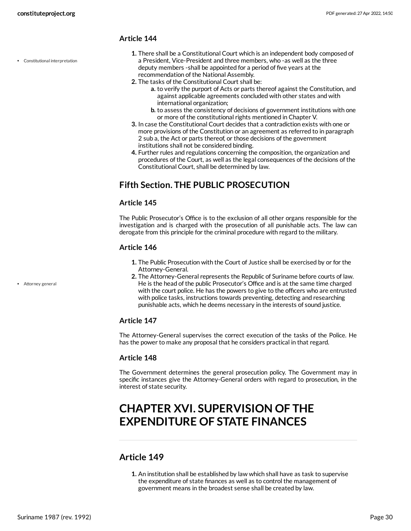Constitutional interpretation

#### **Article 144**

- **1.** There shall be a Constitutional Court which is an independent body composed of a President, Vice-President and three members, who -as well as the three deputy members -shall be appointed for a period of five years at the recommendation of the National Assembly.
- **2.** The tasks of the Constitutional Court shall be:
	- **a.** to verify the purport of Acts or parts thereof against the Constitution, and against applicable agreements concluded with other states and with international organization;
	- **b.** to assess the consistency of decisions of government institutions with one or more of the constitutional rights mentioned in Chapter V.
- **3.** In case the Constitutional Court decides that a contradiction exists with one or more provisions of the Constitution or an agreement as referred to in paragraph 2 sub a, the Act or parts thereof, or those decisions of the government institutions shall not be considered binding.
- **4.** Further rules and regulations concerning the composition, the organization and procedures of the Court, as well as the legal consequences of the decisions of the Constitutional Court, shall be determined by law.

## <span id="page-29-0"></span>**Fifth Section. THE PUBLIC PROSECUTION**

#### **Article 145**

The Public Prosecutor's Office is to the exclusion of all other organs responsible for the investigation and is charged with the prosecution of all punishable acts. The law can derogate from this principle for the criminal procedure with regard to the military.

#### <span id="page-29-3"></span>**Article 146**

- **1.** The Public Prosecution with the Court of Justice shall be exercised by or for the Attorney-General.
- **2.** The Attorney-General represents the Republic of Suriname before courts of law. He is the head of the public Prosecutor's Office and is at the same time charged with the court police. He has the powers to give to the officers who are entrusted with police tasks, instructions towards preventing, detecting and researching punishable acts, which he deems necessary in the interests of sound justice.

#### **Article 147**

The Attorney-General supervises the correct execution of the tasks of the Police. He has the power to make any proposal that he considers practical in that regard.

#### **Article 148**

The Government determines the general prosecution policy. The Government may in specific instances give the Attorney-General orders with regard to prosecution, in the interest of state security.

## <span id="page-29-1"></span>**CHAPTER XVI. SUPERVISION OF THE EXPENDITURE OF STATE FINANCES**

### <span id="page-29-2"></span>**Article 149**

**1.** An institution shall be established by law which shall have as task to supervise the expenditure of state finances as well as to control the management of government means in the broadest sense shall be created by law.

Attorney general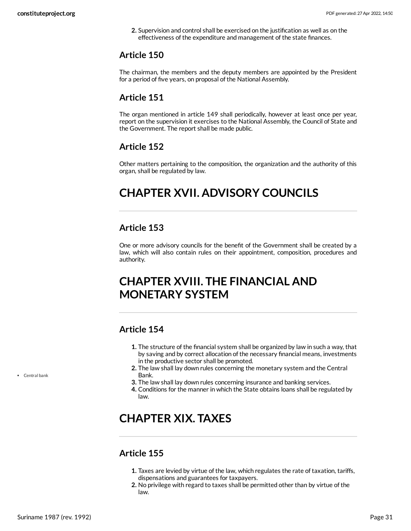**2.** Supervision and control shall be exercised on the justification as well as on the effectiveness of the expenditure and management of the state finances.

## <span id="page-30-0"></span>**Article 150**

The chairman, the members and the deputy members are appointed by the President for a period of five years, on proposal of the National Assembly.

## <span id="page-30-1"></span>**Article 151**

The organ mentioned in article 149 shall periodically, however at least once per year, report on the supervision it exercises to the National Assembly, the Council of State and the Government. The report shall be made public.

## <span id="page-30-2"></span>**Article 152**

Other matters pertaining to the composition, the organization and the authority of this organ, shall be regulated by law.

# <span id="page-30-3"></span>**CHAPTER XVII. ADVISORY COUNCILS**

## <span id="page-30-4"></span>**Article 153**

One or more advisory councils for the benefit of the Government shall be created by a law, which will also contain rules on their appointment, composition, procedures and authority.

## <span id="page-30-5"></span>**CHAPTER XVIII. THE FINANCIAL AND MONETARY SYSTEM**

## <span id="page-30-6"></span>**Article 154**

- **1.** The structure of the financial system shall be organized by law in such a way, that by saving and by correct allocation of the necessary financial means, investments in the productive sector shall be promoted.
- **2.** The law shall lay down rules concerning the monetary system and the Central Bank.
- **3.** The law shall lay down rules concerning insurance and banking services.
- **4.** Conditions for the manner in which the State obtains loans shall be regulated by law.

# <span id="page-30-7"></span>**CHAPTER XIX. TAXES**

## <span id="page-30-8"></span>**Article 155**

- **1.** Taxes are levied by virtue of the law, which regulates the rate of taxation, tariffs, dispensations and guarantees for taxpayers.
- **2.** No privilege with regard to taxes shall be permitted other than by virtue of the law.

• Central bank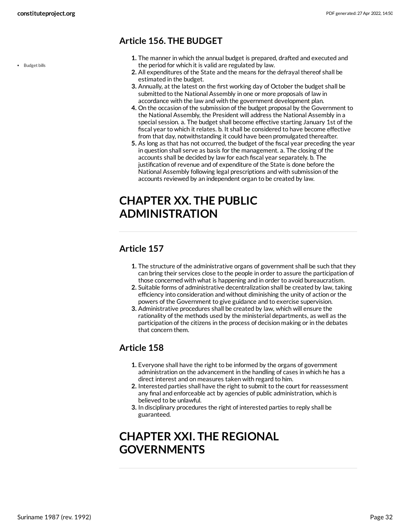## <span id="page-31-0"></span>**Article 156. THE BUDGET**

• Budget bills

- **1.** The manner in which the annual budget is prepared, drafted and executed and the period for which it is valid are regulated by law.
- **2.** All expenditures of the State and the means for the defrayal thereof shall be estimated in the budget.
- **3.** Annually, at the latest on the first working day of October the budget shall be submitted to the National Assembly in one or more proposals of law in accordance with the law and with the government development plan.
- **4.** On the occasion of the submission of the budget proposal by the Government to the National Assembly, the President will address the National Assembly in a special session. a. The budget shall become effective starting January 1st of the fiscal year to which it relates. b. It shall be considered to have become effective from that day, notwithstanding it could have been promulgated thereafter.
- **5.** As long as that has not occurred, the budget of the fiscal year preceding the year in question shall serve as basis for the management. a. The closing of the accounts shall be decided by law for each fiscal year separately. b. The justification of revenue and of expenditure of the State is done before the National Assembly following legal prescriptions and with submission of the accounts reviewed by an independent organ to be created by law.

## <span id="page-31-1"></span>**CHAPTER XX. THE PUBLIC ADMINISTRATION**

## <span id="page-31-2"></span>**Article 157**

- **1.** The structure of the administrative organs of government shall be such that they can bring their services close to the people in order to assure the participation of those concerned with what is happening and in order to avoid bureaucratism.
- **2.** Suitable forms of administrative decentralization shall be created by law, taking efficiency into consideration and without diminishing the unity of action or the powers of the Government to give guidance and to exercise supervision.
- **3.** Administrative procedures shall be created by law, which will ensure the rationality of the methods used by the ministerial departments, as well as the participation of the citizens in the process of decision making or in the debates that concern them.

## <span id="page-31-3"></span>**Article 158**

- **1.** Everyone shall have the right to be informed by the organs of government administration on the advancement in the handling of cases in which he has a direct interest and on measures taken with regard to him.
- **2.** Interested parties shall have the right to submit to the court for reassessment any final and enforceable act by agencies of public administration, which is believed to be unlawful.
- **3.** In disciplinary procedures the right of interested parties to reply shall be guaranteed.

## <span id="page-31-4"></span>**CHAPTER XXI. THE REGIONAL GOVERNMENTS**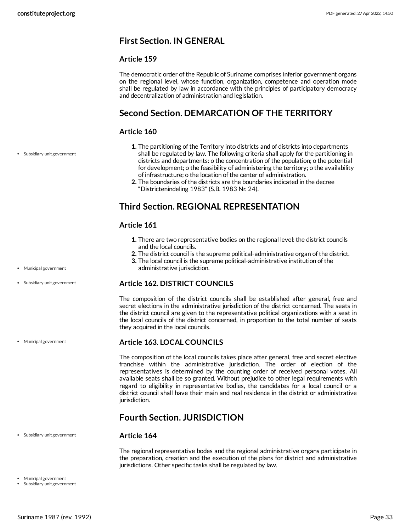### <span id="page-32-0"></span>**First Section. IN GENERAL**

#### **Article 159**

The democratic order of the Republic of Suriname comprises inferior government organs on the regional level, whose function, organization, competence and operation mode shall be regulated by law in accordance with the principles of participatory democracy and decentralization of administration and legislation.

## <span id="page-32-1"></span>**Second Section. DEMARCATION OF THE TERRITORY**

#### <span id="page-32-5"></span>**Article 160**

- **1.** The partitioning of the Territory into districts and of districts into departments shall be regulated by law. The following criteria shall apply for the partitioning in districts and departments: o the concentration of the population; o the potential for development; o the feasibility of administering the territory; o the availability of infrastructure; o the location of the center of administration.
- **2.** The boundaries of the districts are the boundaries indicated in the decree "Districtenindeling 1983" (S.B. 1983 Nr. 24).

## <span id="page-32-2"></span>**Third Section. REGIONAL REPRESENTATION**

#### <span id="page-32-4"></span>**Article 161**

- **1.** There are two representative bodies on the regional level: the district councils and the local councils.
- **2.** The district council is the supreme political-administrative organ of the district.
- **3.** The local council is the supreme political-administrative institution of the administrative jurisdiction.

#### **Article 162. DISTRICT COUNCILS**

The composition of the district councils shall be established after general, free and secret elections in the administrative jurisdiction of the district concerned. The seats in the district council are given to the representative political organizations with a seat in the local councils of the district concerned, in proportion to the total number of seats they acquired in the local councils.

#### **Article 163. LOCAL COUNCILS**

The composition of the local councils takes place after general, free and secret elective franchise within the administrative jurisdiction. The order of election of the representatives is determined by the counting order of received personal votes. All available seats shall be so granted. Without prejudice to other legal requirements with regard to eligibility in representative bodies, the candidates for a local council or a district council shall have their main and real residence in the district or administrative jurisdiction.

### <span id="page-32-3"></span>**Fourth Section. JURISDICTION**

#### **Article 164**

The regional representative bodes and the regional administrative organs participate in the preparation, creation and the execution of the plans for district and administrative jurisdictions. Other specific tasks shall be regulated by law.

Subsidiary unit government

Municipal government

Subsidiary unit government

Municipal government

Subsidiary unit government

Subsidiary unit government

Municipal government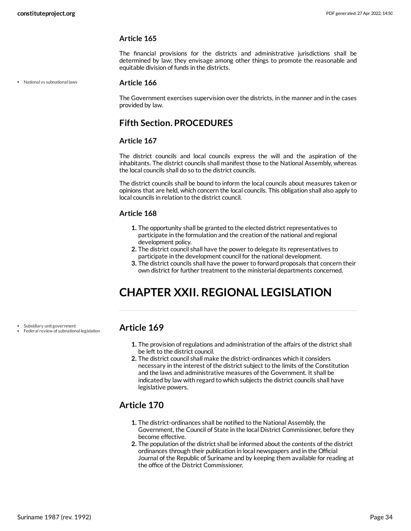#### **Article 165**

The financial provisions for the districts and administrative jurisdictions shall be determined by law; they envisage among other things to promote the reasonable and equitable division of funds in the districts.

National vs subnational laws

#### <span id="page-33-4"></span>**Article 166**

The Government exercises supervision over the districts, in the manner and in the cases provided by law.

## <span id="page-33-0"></span>**Fifth Section. PROCEDURES**

#### **Article 167**

The district councils and local councils express the will and the aspiration of the inhabitants. The district councils shall manifest those to the National Assembly, whereas the local councils shall do so to the district councils.

The district councils shall be bound to inform the local councils about measures taken or opinions that are held, which concern the local councils. This obligation shall also apply to local councils in relation to the district council.

#### **Article 168**

- **1.** The opportunity shall be granted to the elected district representatives to participate in the formulation and the creation of the national and regional development policy.
- **2.** The district council shall have the power to delegate its representatives to participate in the development council for the national development.
- **3.** The district councils shall have the power to forward proposals that concern their own district for further treatment to the ministerial departments concerned.

## <span id="page-33-1"></span>**CHAPTER XXII. REGIONAL LEGISLATION**

#### Subsidiary unit government

• Federal review of subnational legislation

### <span id="page-33-2"></span>**Article 169**

- **1.** The provision of regulations and administration of the affairs of the district shall be left to the district council.
- **2.** The district council shall make the district-ordinances which it considers necessary in the interest of the district subject to the limits of the Constitution and the laws and administrative measures of the Government. It shall be indicated by law with regard to which subjects the district councils shall have legislative powers.

## <span id="page-33-3"></span>**Article 170**

- **1.** The district-ordinances shall be notified to the National Assembly, the Government, the Council of State in the local District Commissioner, before they become effective.
- **2.** The population of the district shall be informed about the contents of the district ordinances through their publication in local newspapers and in the Official Journal of the Republic of Suriname and by keeping them available for reading at the office of the District Commissioner.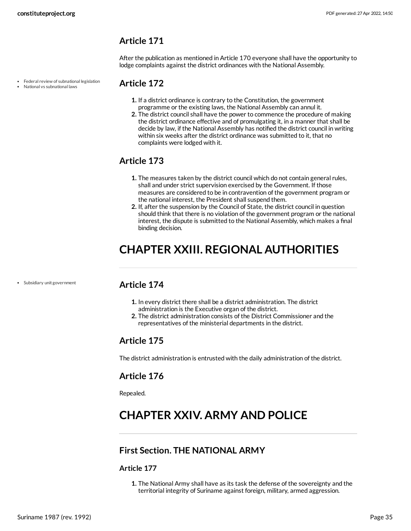National vs subnational laws

## <span id="page-34-0"></span>**Article 171**

<span id="page-34-1"></span>After the publication as mentioned in Article 170 everyone shall have the opportunity to lodge complaints against the district ordinances with the National Assembly.

#### **Article 172** Federal review of subnational legislation

- **1.** If a district ordinance is contrary to the Constitution, the government programme or the existing laws, the National Assembly can annul it.
- **2.** The district council shall have the power to commence the procedure of making the district ordinance effective and of promulgating it, in a manner that shall be decide by law, if the National Assembly has notified the district council in writing within six weeks after the district ordinance was submitted to it, that no complaints were lodged with it.

## <span id="page-34-2"></span>**Article 173**

- **1.** The measures taken by the district council which do not contain general rules, shall and under strict supervision exercised by the Government. If those measures are considered to be in contravention of the government program or the national interest, the President shall suspend them.
- **2.** If, after the suspension by the Council of State, the district council in question should think that there is no violation of the government program or the national interest, the dispute is submitted to the National Assembly, which makes a final binding decision.

## <span id="page-34-3"></span>**CHAPTER XXIII. REGIONAL AUTHORITIES**

Subsidiary unit government

### <span id="page-34-4"></span>**Article 174**

- **1.** In every district there shall be a district administration. The district administration is the Executive organ of the district.
- **2.** The district administration consists of the District Commissioner and the representatives of the ministerial departments in the district.

## <span id="page-34-5"></span>**Article 175**

The district administration is entrusted with the daily administration of the district.

### <span id="page-34-6"></span>**Article 176**

Repealed.

## <span id="page-34-7"></span>**CHAPTER XXIV. ARMY AND POLICE**

### <span id="page-34-8"></span>**First Section. THE NATIONAL ARMY**

#### **Article 177**

**1.** The National Army shall have as its task the defense of the sovereignty and the territorial integrity of Suriname against foreign, military, armed aggression.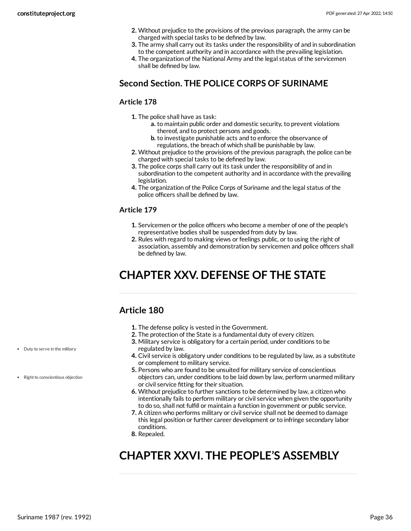- **2.** Without prejudice to the provisions of the previous paragraph, the army can be charged with special tasks to be defined by law.
- **3.** The army shall carry out its tasks under the responsibility of and in subordination to the competent authority and in accordance with the prevailing legislation.
- **4.** The organization of the National Army and the legal status of the servicemen shall be defined by law.

## <span id="page-35-0"></span>**Second Section. THE POLICE CORPS OF SURINAME**

#### **Article 178**

- **1.** The police shall have as task:
	- **a.** to maintain public order and domestic security, to prevent violations thereof, and to protect persons and goods.
	- **b.** to investigate punishable acts and to enforce the observance of regulations, the breach of which shall be punishable by law.
- **2.** Without prejudice to the provisions of the previous paragraph, the police can be charged with special tasks to be defined by law.
- **3.** The police corps shall carry out its task under the responsibility of and in subordination to the competent authority and in accordance with the prevailing legislation.
- **4.** The organization of the Police Corps of Suriname and the legal status of the police officers shall be defined by law.

#### **Article 179**

- **1.** Servicemen or the police officers who become a member of one of the people's representative bodies shall be suspended from duty by law.
- **2.** Rules with regard to making views or feelings public, or to using the right of association, assembly and demonstration by servicemen and police officers shall be defined by law.

# <span id="page-35-1"></span>**CHAPTER XXV. DEFENSE OF THE STATE**

## <span id="page-35-2"></span>**Article 180**

- **1.** The defense policy is vested in the Government.
- **2.** The protection of the State is a fundamental duty of every citizen.
- **3.** Military service is obligatory for a certain period, under conditions to be regulated by law.
- **4.** Civil service is obligatory under conditions to be regulated by law, as a substitute or complement to military service.
- **5.** Persons who are found to be unsuited for military service of conscientious objectors can, under conditions to be laid down by law, perform unarmed military or civil service fitting for their situation.
- **6.** Without prejudice to further sanctions to be determined by law, a citizen who intentionally fails to perform military or civil service when given the opportunity to do so, shall not fulfill or maintain a function in government or public service.
- **7.** A citizen who performs military or civil service shall not be deemed to damage this legal position or further career development or to infringe secondary labor conditions.
- **8.** Repealed.

# <span id="page-35-4"></span><span id="page-35-3"></span>**CHAPTER XXVI. THE PEOPLE'S ASSEMBLY**

Duty to serve in the military

• Right to conscientious objection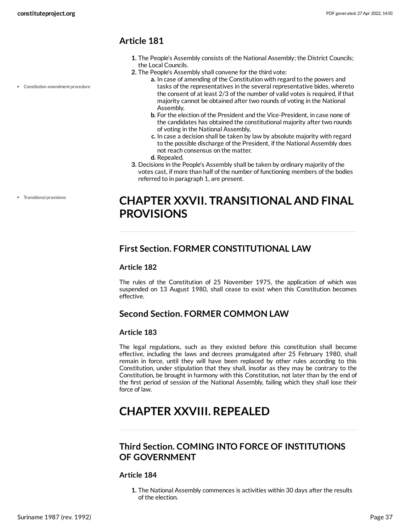## <span id="page-36-0"></span>**Article 181**

- **1.** The People's Assembly consists of: the National Assembly; the District Councils; the Local Councils.
- **2.** The People's Assembly shall convene for the third vote:
	- **a.** In case of amending of the Constitution with regard to the powers and tasks of the representatives in the several representative bides, whereto the consent of at least 2/3 of the number of valid votes is required, if that majority cannot be obtained after two rounds of voting in the National Assembly.
	- **b.** For the election of the President and the Vice-President, in case none of the candidates has obtained the constitutional majority after two rounds of voting in the National Assembly,
	- **c.** In case a decision shall be taken by law by absolute majority with regard to the possible discharge of the President, if the National Assembly does not reach consensus on the matter.
	- **d.** Repealed.
- **3.** Decisions in the People's Assembly shall be taken by ordinary majority of the votes cast, if more than half of the number of functioning members of the bodies referred to in paragraph 1, are present.

## <span id="page-36-1"></span>**CHAPTER XXVII. TRANSITIONAL AND FINAL PROVISIONS**

## <span id="page-36-2"></span>**First Section. FORMER CONSTITUTIONAL LAW**

#### **Article 182**

The rules of the Constitution of 25 November 1975, the application of which was suspended on 13 August 1980, shall cease to exist when this Constitution becomes effective.

## <span id="page-36-3"></span>**Second Section. FORMER COMMON LAW**

#### **Article 183**

The legal regulations, such as they existed before this constitution shall become effective, including the laws and decrees promulgated after 25 February 1980, shall remain in force, until they will have been replaced by other rules according to this Constitution, under stipulation that they shall, insofar as they may be contrary to the Constitution, be brought in harmony with this Constitution, not later than by the end of the first period of session of the National Assembly, failing which they shall lose their force of law.

# <span id="page-36-4"></span>**CHAPTER XXVIII. REPEALED**

### <span id="page-36-5"></span>**Third Section. COMING INTO FORCE OF INSTITUTIONS OF GOVERNMENT**

#### **Article 184**

**1.** The National Assembly commences is activities within 30 days after the results of the election.

Constitution amendment procedure

Transitional provisions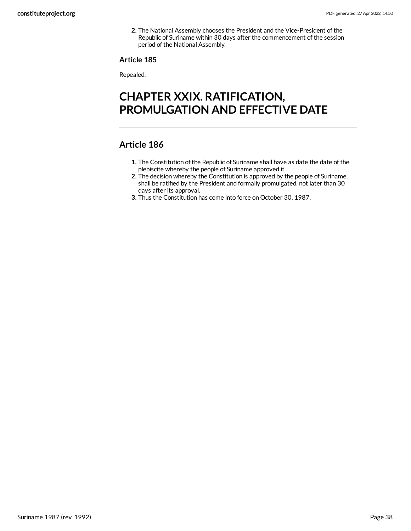**2.** The National Assembly chooses the President and the Vice-President of the Republic of Suriname within 30 days after the commencement of the session period of the National Assembly.

#### **Article 185**

Repealed.

## <span id="page-37-0"></span>**CHAPTER XXIX. RATIFICATION, PROMULGATION AND EFFECTIVE DATE**

## <span id="page-37-1"></span>**Article 186**

- **1.** The Constitution of the Republic of Suriname shall have as date the date of the plebiscite whereby the people of Suriname approved it.
- **2.** The decision whereby the Constitution is approved by the people of Suriname, shall be ratified by the President and formally promulgated, not later than 30 days after its approval.
- **3.** Thus the Constitution has come into force on October 30, 1987.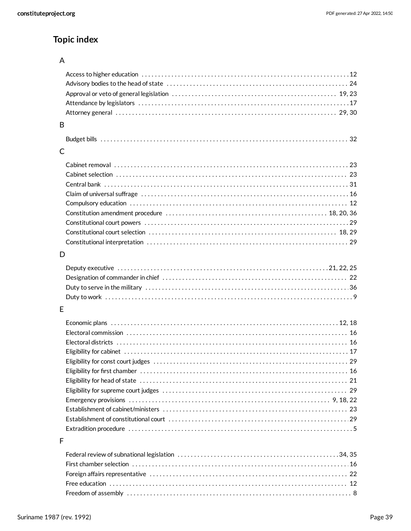## **Topic index**

#### A

| B            |  |
|--------------|--|
|              |  |
| $\mathsf{C}$ |  |
|              |  |
|              |  |
|              |  |
|              |  |
|              |  |
|              |  |
|              |  |
|              |  |
|              |  |
| D            |  |
|              |  |
|              |  |
|              |  |
|              |  |
|              |  |
| E            |  |
|              |  |
|              |  |
|              |  |
|              |  |
|              |  |
|              |  |
|              |  |
|              |  |
|              |  |
|              |  |
|              |  |
|              |  |
| F            |  |
|              |  |
|              |  |
|              |  |
|              |  |

[12](#page-11-6) Free education . . . . . . . . . . . . . . . . . . . . . . . . . . . . . . . . . . . . . . . . . . . . . . . . . . . . . . . . . . . . . . . . . . . . . . . . [8](#page-7-9) Freedom of assembly . . . . . . . . . . . . . . . . . . . . . . . . . . . . . . . . . . . . . . . . . . . . . . . . . . . . . . . . . . . . . . . . . . . .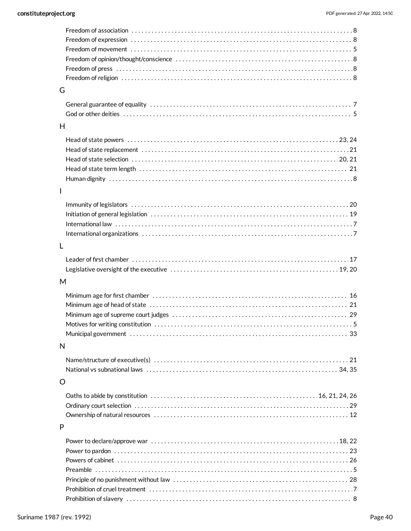| G            |  |
|--------------|--|
|              |  |
|              |  |
| H            |  |
|              |  |
|              |  |
|              |  |
|              |  |
|              |  |
| $\mathbf{I}$ |  |
|              |  |
|              |  |
|              |  |
|              |  |
|              |  |
| L            |  |
|              |  |
|              |  |
|              |  |
| M            |  |
|              |  |
|              |  |
|              |  |
|              |  |
|              |  |
| N            |  |
|              |  |
|              |  |
| O            |  |
|              |  |
|              |  |
|              |  |
|              |  |
| P            |  |
|              |  |
|              |  |
|              |  |
|              |  |
|              |  |
|              |  |
|              |  |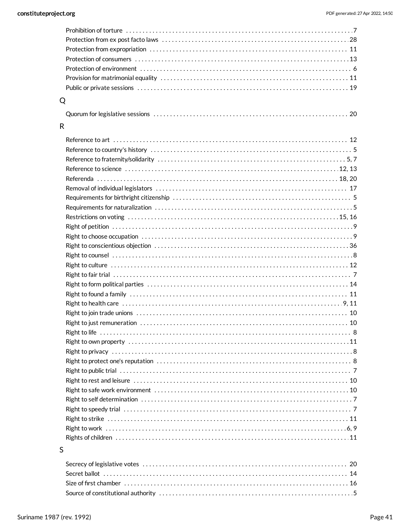## $\mathsf Q$

|--|--|

## ${\sf R}$

| Reference to science with the continuum of the control of the control of the control of the control of the control of the control of the control of the control of the control of the control of the control of the control of |
|--------------------------------------------------------------------------------------------------------------------------------------------------------------------------------------------------------------------------------|
|                                                                                                                                                                                                                                |
|                                                                                                                                                                                                                                |
|                                                                                                                                                                                                                                |
|                                                                                                                                                                                                                                |
|                                                                                                                                                                                                                                |
|                                                                                                                                                                                                                                |
|                                                                                                                                                                                                                                |
|                                                                                                                                                                                                                                |
|                                                                                                                                                                                                                                |
|                                                                                                                                                                                                                                |
|                                                                                                                                                                                                                                |
|                                                                                                                                                                                                                                |
|                                                                                                                                                                                                                                |
|                                                                                                                                                                                                                                |
|                                                                                                                                                                                                                                |
|                                                                                                                                                                                                                                |
|                                                                                                                                                                                                                                |
|                                                                                                                                                                                                                                |
|                                                                                                                                                                                                                                |
|                                                                                                                                                                                                                                |
|                                                                                                                                                                                                                                |
|                                                                                                                                                                                                                                |
|                                                                                                                                                                                                                                |
|                                                                                                                                                                                                                                |
|                                                                                                                                                                                                                                |
|                                                                                                                                                                                                                                |
|                                                                                                                                                                                                                                |
|                                                                                                                                                                                                                                |

### $\mathsf{S}$